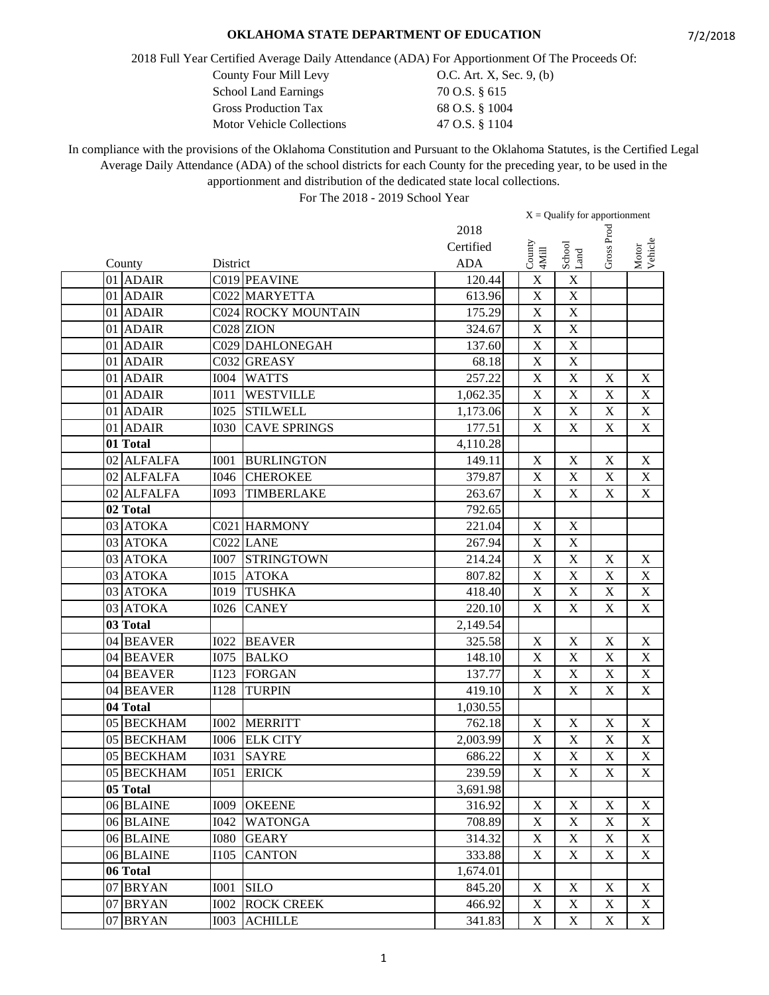2018 Full Year Certified Average Daily Attendance (ADA) For Apportionment Of The Proceeds Of:

| <b>School Land Earnings</b>      | 70 O.S. § 615  |
|----------------------------------|----------------|
| <b>Gross Production Tax</b>      | 68 O.S. § 1004 |
| <b>Motor Vehicle Collections</b> | 47 O.S. § 1104 |

County Four Mill Levy 0.C. Art. X, Sec. 9, (b)<br>School Land Earnings 70 O.S. § 615 70 O.S. § 615

In compliance with the provisions of the Oklahoma Constitution and Pursuant to the Oklahoma Statutes, is the Certified Legal Average Daily Attendance (ADA) of the school districts for each County for the preceding year, to be used in the apportionment and distribution of the dedicated state local collections.

|                         |             |                            |            | $X =$ Qualify for apportionment |                           |                           |                           |
|-------------------------|-------------|----------------------------|------------|---------------------------------|---------------------------|---------------------------|---------------------------|
|                         |             |                            | 2018       |                                 |                           |                           |                           |
|                         |             |                            | Certified  | $\operatorname{Conv}$           |                           | Gross Proc                | Motor<br>Vehicle          |
| County                  | District    |                            | <b>ADA</b> | 4Mill                           | School<br>Land            |                           |                           |
| 01 ADAIR                |             | C019 PEAVINE               | 120.44     | $\mathbf X$                     | $\mathbf X$               |                           |                           |
| 01 ADAIR                |             | C022 MARYETTA              | 613.96     | $\mathbf X$                     | $\mathbf X$               |                           |                           |
| 01 ADAIR                |             | <b>C024 ROCKY MOUNTAIN</b> | 175.29     | $\mathbf X$                     | $\mathbf X$               |                           |                           |
| 01 ADAIR                |             | C028 ZION                  | 324.67     | $\mathbf X$                     | $\overline{X}$            |                           |                           |
| 01 ADAIR                |             | C029 DAHLONEGAH            | 137.60     | $\mathbf X$                     | $\mathbf X$               |                           |                           |
| 01 ADAIR                |             | C032 GREASY                | 68.18      | $\mathbf X$                     | $\mathbf X$               |                           |                           |
| 01 ADAIR                | <b>I004</b> | <b>WATTS</b>               | 257.22     | $\mathbf X$                     | $\mathbf X$               | $\mathbf X$               | X                         |
| 01 ADAIR                | I011        | <b>WESTVILLE</b>           | 1,062.35   | $\overline{\mathbf{X}}$         | $\overline{\mathbf{X}}$   | $\mathbf X$               | $\mathbf X$               |
| 01 ADAIR                | <b>I025</b> | <b>STILWELL</b>            | 1,173.06   | $\mathbf X$                     | $\overline{\mathbf{X}}$   | $\mathbf X$               | $\mathbf X$               |
| 01 ADAIR                | <b>I030</b> | <b>CAVE SPRINGS</b>        | 177.51     | $\mathbf X$                     | $\mathbf X$               | $\mathbf X$               | $\mathbf X$               |
| 01 Total                |             |                            | 4,110.28   |                                 |                           |                           |                           |
| 02 ALFALFA              | <b>I001</b> | <b>BURLINGTON</b>          | 149.11     | $\mathbf X$                     | $\mathbf X$               | $\mathbf X$               | $\mathbf X$               |
| $\overline{02}$ ALFALFA | <b>I046</b> | <b>CHEROKEE</b>            | 379.87     | $\mathbf X$                     | $\mathbf X$               | $\mathbf X$               | $\mathbf X$               |
| 02 ALFALFA              | I093        | TIMBERLAKE                 | 263.67     | $\mathbf X$                     | $\mathbf X$               | $\mathbf X$               | $\boldsymbol{\mathrm{X}}$ |
| 02 Total                |             |                            | 792.65     |                                 |                           |                           |                           |
| 03 ATOKA                |             | C021 HARMONY               | 221.04     | $\mathbf X$                     | $\mathbf X$               |                           |                           |
| 03 ATOKA                |             | C022 LANE                  | 267.94     | $\mathbf X$                     | $\mathbf X$               |                           |                           |
| 03 ATOKA                | <b>I007</b> | <b>STRINGTOWN</b>          | 214.24     | $\overline{\mathbf{X}}$         | $\mathbf X$               | $\mathbf X$               | X                         |
| 03 ATOKA                | <b>I015</b> | <b>ATOKA</b>               | 807.82     | $\overline{\mathbf{X}}$         | $\overline{X}$            | $\mathbf X$               | $\mathbf X$               |
| 03 ATOKA                | <b>I019</b> | <b>TUSHKA</b>              | 418.40     | $\mathbf X$                     | $\mathbf X$               | $\mathbf X$               | $\mathbf X$               |
| 03 ATOKA                | <b>I026</b> | <b>CANEY</b>               | 220.10     | $\mathbf X$                     | $\mathbf X$               | $\mathbf X$               | $\mathbf X$               |
| 03 Total                |             |                            | 2,149.54   |                                 |                           |                           |                           |
| 04 BEAVER               | <b>I022</b> | <b>BEAVER</b>              | 325.58     | $\mathbf X$                     | $\mathbf X$               | $\mathbf X$               | $\boldsymbol{\mathrm{X}}$ |
| 04 BEAVER               | <b>I075</b> | <b>BALKO</b>               | 148.10     | $\mathbf X$                     | $\mathbf X$               | $\boldsymbol{\mathrm{X}}$ | $\mathbf X$               |
| 04 BEAVER               | <b>I123</b> | <b>FORGAN</b>              | 137.77     | $\mathbf X$                     | $\mathbf X$               | $\mathbf X$               | $\mathbf X$               |
| 04 BEAVER               | <b>I128</b> | <b>TURPIN</b>              | 419.10     | $\mathbf X$                     | $\mathbf X$               | $\mathbf X$               | $\overline{\text{X}}$     |
| 04 Total                |             |                            | 1,030.55   |                                 |                           |                           |                           |
| 05 BECKHAM              | <b>I002</b> | <b>MERRITT</b>             | 762.18     | $\mathbf X$                     | $\mathbf X$               | X                         | $\mathbf X$               |
| 05 BECKHAM              |             | 1006 ELK CITY              | 2,003.99   | $\mathbf X$                     | $\mathbf X$               | $\boldsymbol{\mathrm{X}}$ | $\mathbf X$               |
| 05 BECKHAM              | <b>I031</b> | <b>SAYRE</b>               | 686.22     | $\mathbf X$                     | $\mathbf X$               | $\mathbf X$               | $\mathbf X$               |
| 05 BECKHAM              |             | <b>I051 ERICK</b>          | 239.59     | $\overline{\textbf{X}}$         | $\overline{\textbf{X}}$   | $\overline{\textbf{X}}$   | $\overline{X}$            |
| 05 Total                |             |                            | 3,691.98   |                                 |                           |                           |                           |
| 06 BLAINE               | I009        | <b>OKEENE</b>              | 316.92     | X                               | X                         | X                         | X                         |
| 06 BLAINE               | <b>I042</b> | <b>WATONGA</b>             | 708.89     | $\mathbf X$                     | $\mathbf X$               | $\mathbf X$               | X                         |
| 06 BLAINE               | <b>I080</b> | <b>GEARY</b>               | 314.32     | $\mathbf X$                     | $\mathbf X$               | $\mathbf X$               | X                         |
| 06 BLAINE               | I105        | <b>CANTON</b>              | 333.88     | $\mathbf X$                     | X                         | $\boldsymbol{\mathrm{X}}$ | X                         |
| 06 Total                |             |                            | 1,674.01   |                                 |                           |                           |                           |
| 07 BRYAN                | <b>I001</b> | <b>SILO</b>                | 845.20     | $\mathbf X$                     | $\boldsymbol{\mathrm{X}}$ | $\mathbf X$               | $\boldsymbol{\mathrm{X}}$ |
| 07 BRYAN                | <b>I002</b> | <b>ROCK CREEK</b>          | 466.92     | $\mathbf X$                     | $\mathbf X$               | X                         | X                         |
| 07 BRYAN                | <b>I003</b> | <b>ACHILLE</b>             | 341.83     | $\mathbf X$                     | $\mathbf X$               | $\mathbf X$               | $X_{\mathcal{E}}$         |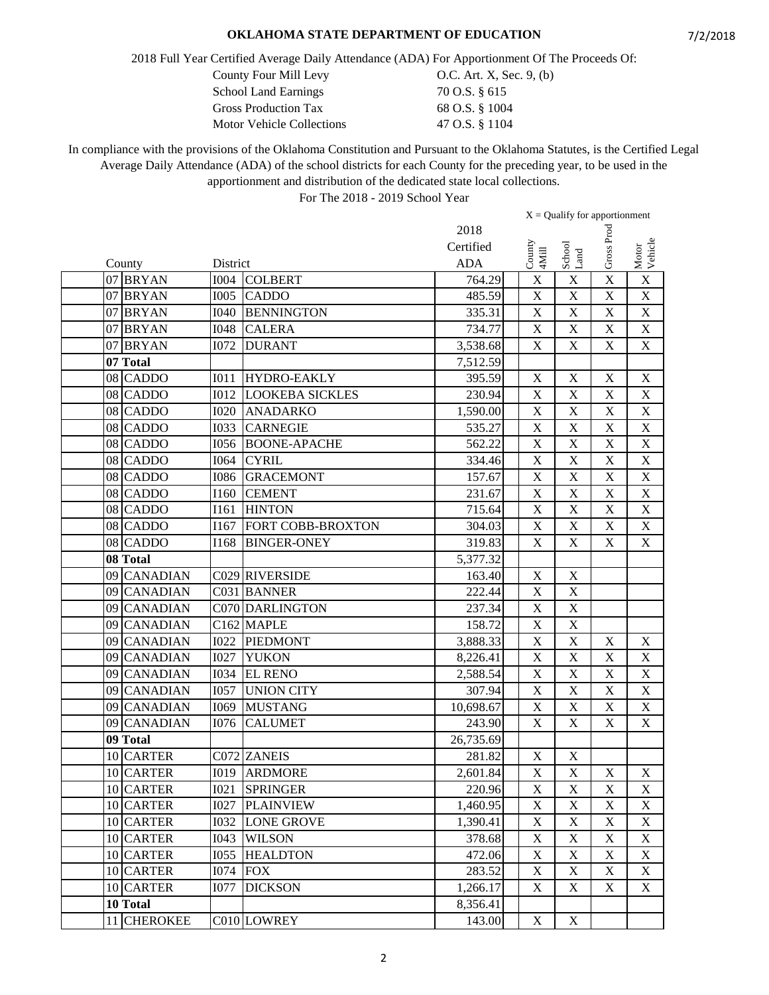2018 Full Year Certified Average Daily Attendance (ADA) For Apportionment Of The Proceeds Of:

County Four Mill Levy 0.C. Art. X, Sec. 9, (b)

| <b>School Land Earnings</b>      | 70 O.S. § 615  |
|----------------------------------|----------------|
| <b>Gross Production Tax</b>      | 68 O.S. § 1004 |
| <b>Motor Vehicle Collections</b> | 47 O.S. § 1104 |

In compliance with the provisions of the Oklahoma Constitution and Pursuant to the Oklahoma Statutes, is the Certified Legal Average Daily Attendance (ADA) of the school districts for each County for the preceding year, to be used in the apportionment and distribution of the dedicated state local collections.

|    |                 |             |                        |            | $X =$ Qualify for apportionment |                           |                           |                           |
|----|-----------------|-------------|------------------------|------------|---------------------------------|---------------------------|---------------------------|---------------------------|
|    |                 |             |                        | 2018       |                                 |                           |                           |                           |
|    |                 |             |                        | Certified  |                                 |                           | Gross Proc                |                           |
|    | County          | District    |                        | <b>ADA</b> | County<br>4Mill                 | School<br>Land            |                           | Motor<br>Vehicle          |
|    | 07 BRYAN        | <b>I004</b> | <b>COLBERT</b>         | 764.29     | $\mathbf X$                     | $\mathbf X$               | X                         | $\mathbf X$               |
|    | 07 BRYAN        | <b>I005</b> | <b>CADDO</b>           | 485.59     | $\mathbf X$                     | $\mathbf X$               | $\mathbf X$               | $\mathbf X$               |
|    | 07 BRYAN        | <b>I040</b> | <b>BENNINGTON</b>      | 335.31     | $\mathbf X$                     | $\mathbf X$               | $\mathbf X$               | $\mathbf X$               |
|    | 07 BRYAN        | <b>I048</b> | <b>CALERA</b>          | 734.77     | $\mathbf X$                     | X                         | $\mathbf X$               | $\mathbf X$               |
|    | 07 BRYAN        | <b>I072</b> | <b>DURANT</b>          | 3,538.68   | $\mathbf X$                     | $\mathbf X$               | $\boldsymbol{\mathrm{X}}$ | $\mathbf X$               |
|    | 07 Total        |             |                        | 7,512.59   |                                 |                           |                           |                           |
|    | 08 CADDO        | I011        | <b>HYDRO-EAKLY</b>     | 395.59     | $\mathbf X$                     | $\mathbf X$               | $\mathbf X$               | $\mathbf X$               |
|    | 08 CADDO        | <b>I012</b> | <b>LOOKEBA SICKLES</b> | 230.94     | $\mathbf X$                     | $\overline{\mathbf{X}}$   | X                         | $\mathbf X$               |
|    | 08 CADDO        | <b>I020</b> | <b>ANADARKO</b>        | 1,590.00   | $\mathbf X$                     | $\overline{\text{X}}$     | X                         | $\overline{\text{X}}$     |
|    | 08 CADDO        | <b>I033</b> | <b>CARNEGIE</b>        | 535.27     | $\mathbf X$                     | $\boldsymbol{\mathrm{X}}$ | $\mathbf X$               | $\overline{X}$            |
|    | 08 CADDO        | <b>I056</b> | <b>BOONE-APACHE</b>    | 562.22     | $\mathbf X$                     | $\mathbf X$               | $\boldsymbol{\mathrm{X}}$ | $\mathbf X$               |
|    | 08 CADDO        | <b>I064</b> | <b>CYRIL</b>           | 334.46     | $\mathbf X$                     | $\mathbf X$               | X                         | $\mathbf X$               |
|    | 08 CADDO        | <b>I086</b> | <b>GRACEMONT</b>       | 157.67     | $\mathbf X$                     | $\mathbf X$               | X                         | $\mathbf X$               |
|    | 08 CADDO        | <b>I160</b> | <b>CEMENT</b>          | 231.67     | X                               | $\overline{\text{X}}$     | X                         | $\overline{X}$            |
|    | 08 CADDO        | I161        | <b>HINTON</b>          | 715.64     | X                               | $\boldsymbol{\mathrm{X}}$ | $\boldsymbol{\mathrm{X}}$ | $\mathbf X$               |
|    | 08 CADDO        | I167        | FORT COBB-BROXTON      | 304.03     | $\mathbf X$                     | $\boldsymbol{\mathrm{X}}$ | $\boldsymbol{\mathrm{X}}$ | $\mathbf X$               |
|    | 08 CADDO        | <b>I168</b> | <b>BINGER-ONEY</b>     | 319.83     | $\mathbf X$                     | $\mathbf X$               | $\mathbf X$               | $\mathbf X$               |
|    | 08 Total        |             |                        | 5,377.32   |                                 |                           |                           |                           |
|    | 09 CANADIAN     |             | C029 RIVERSIDE         | 163.40     | $\mathbf X$                     | $\mathbf X$               |                           |                           |
| 09 | <b>CANADIAN</b> |             | C031 BANNER            | 222.44     | $\mathbf X$                     | $\bar{X}$                 |                           |                           |
| 09 | <b>CANADIAN</b> |             | <b>C070 DARLINGTON</b> | 237.34     | $\mathbf X$                     | X                         |                           |                           |
| 09 | <b>CANADIAN</b> |             | C <sub>162</sub> MAPLE | 158.72     | $\mathbf X$                     | $\mathbf X$               |                           |                           |
|    | 09 CANADIAN     | <b>I022</b> | <b>PIEDMONT</b>        | 3,888.33   | $\mathbf X$                     | $\mathbf X$               | $\boldsymbol{\mathrm{X}}$ | $\boldsymbol{\mathrm{X}}$ |
|    | 09 CANADIAN     | <b>I027</b> | <b>YUKON</b>           | 8,226.41   | $\mathbf X$                     | $\overline{X}$            | $\mathbf X$               | $\mathbf X$               |
| 09 | <b>CANADIAN</b> | <b>I034</b> | <b>EL RENO</b>         | 2,588.54   | $\mathbf X$                     | X                         | X                         | $\mathbf X$               |
| 09 | <b>CANADIAN</b> | <b>I057</b> | <b>UNION CITY</b>      | 307.94     | $\mathbf X$                     | $\overline{X}$            | X                         | $\overline{X}$            |
|    | 09 CANADIAN     | <b>I069</b> | <b>MUSTANG</b>         | 10,698.67  | $\mathbf X$                     | $\mathbf X$               | X                         | $\overline{X}$            |
|    | 09 CANADIAN     | <b>I076</b> | <b>CALUMET</b>         | 243.90     | $\mathbf X$                     | $\mathbf X$               | $\mathbf X$               | $\mathbf X$               |
|    | 09 Total        |             |                        | 26,735.69  |                                 |                           |                           |                           |
|    | 10 CARTER       |             | C072 ZANEIS            | 281.82     | $\mathbf X$                     | $\mathbf X$               |                           |                           |
|    | 10 CARTER       |             | I019 ARDMORE           | 2,601.84   | $\overline{\mathbf{X}}$         | $\overline{\mathbf{X}}$   | $\overline{X}$            | $\overline{X}$            |
|    | 10 CARTER       | I021        | <b>SPRINGER</b>        | 220.96     | $\mathbf X$                     | $\mathbf X$               | X                         | $\mathbf X$               |
|    | 10 CARTER       | <b>I027</b> | <b>PLAINVIEW</b>       | 1,460.95   | $\mathbf X$                     | $\mathbf X$               | $\mathbf X$               | X                         |
|    | 10 CARTER       | <b>I032</b> | <b>LONE GROVE</b>      | 1,390.41   | $\mathbf X$                     | $\mathbf X$               | $\mathbf X$               | $\boldsymbol{\mathrm{X}}$ |
|    | 10 CARTER       | <b>I043</b> | <b>WILSON</b>          | 378.68     | $\mathbf X$                     | $\mathbf X$               | $\mathbf X$               | X                         |
| 10 | <b>CARTER</b>   | <b>I055</b> | <b>HEALDTON</b>        | 472.06     | $\mathbf X$                     | $\mathbf X$               | $\mathbf X$               | $\mathbf X$               |
|    | 10 CARTER       | <b>I074</b> | <b>FOX</b>             | 283.52     | $\mathbf X$                     | $\mathbf X$               | X                         | X                         |
|    | 10 CARTER       | <b>I077</b> | <b>DICKSON</b>         | 1,266.17   | $\mathbf X$                     | $\mathbf X$               | X                         | $\boldsymbol{\mathrm{X}}$ |
|    | 10 Total        |             |                        | 8,356.41   |                                 |                           |                           |                           |
|    | 11 CHEROKEE     |             | C010 LOWREY            | 143.00     | $\mathbf X$                     | $\mathbf X$               |                           |                           |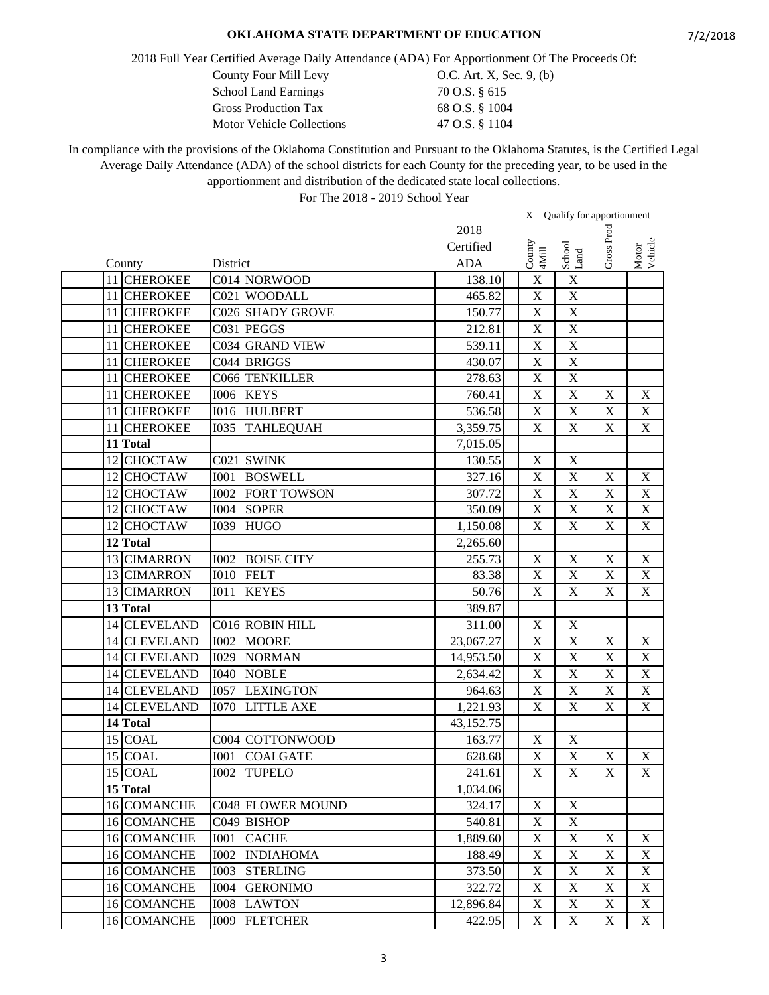2018 Full Year Certified Average Daily Attendance (ADA) For Apportionment Of The Proceeds Of:

County Four Mill Levy 0.C. Art. X, Sec. 9, (b)

| <b>School Land Earnings</b>      | 70 O.S. § 615  |
|----------------------------------|----------------|
| <b>Gross Production Tax</b>      | 68 O.S. § 1004 |
| <b>Motor Vehicle Collections</b> | 47 O.S. § 1104 |

In compliance with the provisions of the Oklahoma Constitution and Pursuant to the Oklahoma Statutes, is the Certified Legal Average Daily Attendance (ADA) of the school districts for each County for the preceding year, to be used in the apportionment and distribution of the dedicated state local collections.

|    |                    |             |                          |            | $X =$ Qualify for apportionment |  |                         |                           |                           |
|----|--------------------|-------------|--------------------------|------------|---------------------------------|--|-------------------------|---------------------------|---------------------------|
|    |                    |             |                          | 2018       |                                 |  |                         |                           |                           |
|    |                    |             |                          | Certified  |                                 |  |                         | Gross Proc                | Motor<br>Vehicle          |
|    | County             | District    |                          | <b>ADA</b> | County<br>4Mill                 |  | School<br>Land          |                           |                           |
|    | 11 CHEROKEE        |             | C014 NORWOOD             | 138.10     | $\mathbf X$                     |  | $\mathbf X$             |                           |                           |
|    | 11 CHEROKEE        |             | C021 WOODALL             | 465.82     | $\mathbf X$                     |  | $\mathbf X$             |                           |                           |
|    | 11 CHEROKEE        |             | C026 SHADY GROVE         | 150.77     | $\mathbf X$                     |  | $\mathbf X$             |                           |                           |
|    | 11 CHEROKEE        |             | C031 PEGGS               | 212.81     | $\mathbf X$                     |  | $\mathbf X$             |                           |                           |
| 11 | <b>CHEROKEE</b>    |             | C034 GRAND VIEW          | 539.11     | $\mathbf X$                     |  | $\mathbf X$             |                           |                           |
|    | 11 CHEROKEE        |             | C044 BRIGGS              | 430.07     | $\mathbf X$                     |  | $\mathbf X$             |                           |                           |
|    | 11 CHEROKEE        |             | C066 TENKILLER           | 278.63     | $\overline{\mathbf{X}}$         |  | $\overline{X}$          |                           |                           |
|    | 11 CHEROKEE        | <b>I006</b> | <b>KEYS</b>              | 760.41     | $\mathbf X$                     |  | $\overline{\mathbf{X}}$ | $\mathbf X$               | X                         |
|    | 11 CHEROKEE        | <b>I016</b> | <b>HULBERT</b>           | 536.58     | $\mathbf X$                     |  | $\overline{\text{X}}$   | X                         | $\mathbf X$               |
|    | 11 CHEROKEE        | <b>I035</b> | <b>TAHLEQUAH</b>         | 3,359.75   | $\mathbf X$                     |  | $\mathbf X$             | $\boldsymbol{\mathrm{X}}$ | $\mathbf X$               |
|    | 11 Total           |             |                          | 7,015.05   |                                 |  |                         |                           |                           |
|    | 12 CHOCTAW         |             | C021 SWINK               | 130.55     | $\mathbf X$                     |  | $\mathbf X$             |                           |                           |
|    | 12 CHOCTAW         | <b>I001</b> | <b>BOSWELL</b>           | 327.16     | $\mathbf X$                     |  | $\mathbf X$             | $\mathbf X$               | $\mathbf X$               |
|    | 12 CHOCTAW         | <b>I002</b> | <b>FORT TOWSON</b>       | 307.72     | $\mathbf X$                     |  | $\overline{X}$          | X                         | $\mathbf X$               |
|    | 12 CHOCTAW         | <b>I004</b> | <b>SOPER</b>             | 350.09     | $\mathbf X$                     |  | $\mathbf X$             | X                         | $\mathbf X$               |
|    | 12 CHOCTAW         | <b>I039</b> | <b>HUGO</b>              | 1,150.08   | $\mathbf X$                     |  | $\mathbf X$             | X                         | $\mathbf X$               |
|    | 12 Total           |             |                          | 2,265.60   |                                 |  |                         |                           |                           |
|    | 13 CIMARRON        | <b>I002</b> | <b>BOISE CITY</b>        | 255.73     | $\mathbf X$                     |  | $\mathbf X$             | $\mathbf X$               | $\mathbf X$               |
|    | 13 CIMARRON        | <b>I010</b> | <b>FELT</b>              | 83.38      | $\mathbf X$                     |  | $\overline{\mathbf{X}}$ | $\mathbf X$               | $\mathbf X$               |
|    | 13 CIMARRON        | <b>IO11</b> | <b>KEYES</b>             | 50.76      | $\mathbf X$                     |  | $\bar{X}$               | $\mathbf X$               | $\mathbf X$               |
|    | 13 Total           |             |                          | 389.87     |                                 |  |                         |                           |                           |
| 14 | <b>CLEVELAND</b>   |             | C016 ROBIN HILL          | 311.00     | $\mathbf X$                     |  | $\mathbf X$             |                           |                           |
|    | 14 CLEVELAND       | <b>I002</b> | <b>MOORE</b>             | 23,067.27  | $\mathbf X$                     |  | $\mathbf X$             | $\mathbf X$               | $\boldsymbol{\mathrm{X}}$ |
|    | 14 CLEVELAND       | <b>I029</b> | <b>NORMAN</b>            | 14,953.50  | $\mathbf X$                     |  | $\overline{X}$          | $\mathbf X$               | $\mathbf X$               |
|    | 14 CLEVELAND       | <b>I040</b> | <b>NOBLE</b>             | 2,634.42   | $\mathbf X$                     |  | $\mathbf X$             | X                         | $\boldsymbol{\mathrm{X}}$ |
|    | 14 CLEVELAND       | <b>I057</b> | <b>LEXINGTON</b>         | 964.63     | $\mathbf X$                     |  | $\mathbf X$             | X                         | $\mathbf X$               |
|    | 14 CLEVELAND       | <b>I070</b> | <b>LITTLE AXE</b>        | 1,221.93   | $\mathbf X$                     |  | $\mathbf X$             | $\mathbf X$               | $\mathbf X$               |
|    | 14 Total           |             |                          | 43,152.75  |                                 |  |                         |                           |                           |
|    | 15 COAL            |             | C004 COTTONWOOD          | 163.77     | $\mathbf X$                     |  | $\mathbf X$             |                           |                           |
|    | 15 COAL            | <b>IOO1</b> | <b>COALGATE</b>          | 628.68     | $\mathbf X$                     |  | $\mathbf X$             | $\mathbf X$               | $\mathbf X$               |
|    | 15 COAL            |             | <b>I002 TUPELO</b>       | 241.61     | $\overline{\mathbf{X}}$         |  | $\overline{X}$          | $\boldsymbol{\mathrm{X}}$ | $\boldsymbol{\mathrm{X}}$ |
|    | 15 Total           |             |                          | 1,034.06   |                                 |  |                         |                           |                           |
|    | 16 COMANCHE        |             | <b>C048 FLOWER MOUND</b> | 324.17     | X                               |  | $\mathbf X$             |                           |                           |
|    | 16 COMANCHE        |             | C049 BISHOP              | 540.81     | $\mathbf X$                     |  | $\mathbf X$             |                           |                           |
|    | 16 COMANCHE        | <b>I001</b> | <b>CACHE</b>             | 1,889.60   | $\mathbf X$                     |  | $\mathbf X$             | $\mathbf X$               | X                         |
|    | 16 COMANCHE        | <b>I002</b> | <b>INDIAHOMA</b>         | 188.49     | $\mathbf X$                     |  | $\mathbf X$             | $\mathbf X$               | X                         |
|    | 16 COMANCHE        | <b>I003</b> | <b>STERLING</b>          | 373.50     | $\mathbf X$                     |  | $\mathbf X$             | $\mathbf X$               | X                         |
|    | <b>16 COMANCHE</b> | <b>I004</b> | <b>GERONIMO</b>          | 322.72     | $\mathbf X$                     |  | $\mathbf X$             | $\mathbf X$               | $\mathbf X$               |
|    | 16 COMANCHE        | <b>IOO8</b> | <b>LAWTON</b>            | 12,896.84  | $\mathbf X$                     |  | $\mathbf X$             | $\mathbf X$               | $\boldsymbol{\mathrm{X}}$ |
|    | 16 COMANCHE        | <b>I009</b> | <b>FLETCHER</b>          | 422.95     | $\mathbf X$                     |  | $\mathbf X$             | $\mathbf X$               | $X_{\mathcal{E}}$         |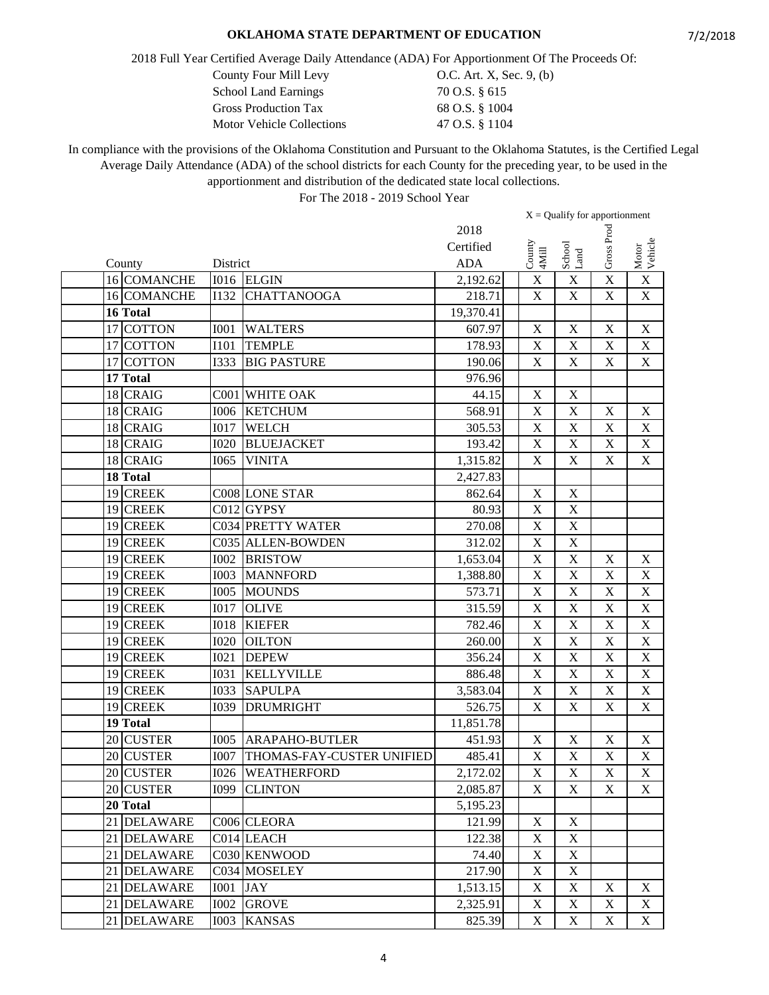2018 Full Year Certified Average Daily Attendance (ADA) For Apportionment Of The Proceeds Of:

County Four Mill Levy  $O.C.$  Art. X, Sec. 9, (b)

| <b>School Land Earnings</b>      | 70 O.S. § 615  |
|----------------------------------|----------------|
| <b>Gross Production Tax</b>      | 68 O.S. § 1004 |
| <b>Motor Vehicle Collections</b> | 47 O.S. § 1104 |

In compliance with the provisions of the Oklahoma Constitution and Pursuant to the Oklahoma Statutes, is the Certified Legal Average Daily Attendance (ADA) of the school districts for each County for the preceding year, to be used in the apportionment and distribution of the dedicated state local collections.

|          |                 |             |                           |            | $X =$ Qualify for apportionment |                           |                           |                           |                           |
|----------|-----------------|-------------|---------------------------|------------|---------------------------------|---------------------------|---------------------------|---------------------------|---------------------------|
|          |                 |             |                           | 2018       |                                 |                           |                           |                           |                           |
|          |                 |             |                           | Certified  |                                 |                           |                           | Gross Proc                |                           |
| County   |                 | District    |                           | <b>ADA</b> |                                 | County<br>4Mill           | School<br>Land            |                           | Motor<br>Vehicle          |
|          | 16 COMANCHE     |             | I016 ELGIN                | 2,192.62   |                                 | $\mathbf X$               | $\mathbf X$               | X                         | $\mathbf X$               |
|          | 16 COMANCHE     | I132        | <b>CHATTANOOGA</b>        | 218.71     |                                 | $\mathbf X$               | $\mathbf X$               | $\mathbf X$               | $\mathbf X$               |
| 16 Total |                 |             |                           | 19,370.41  |                                 |                           |                           |                           |                           |
|          | 17 COTTON       | <b>I001</b> | <b>WALTERS</b>            | 607.97     |                                 | $\mathbf X$               | X                         | $\boldsymbol{\mathrm{X}}$ | $\mathbf X$               |
|          | 17 COTTON       | <b>I101</b> | <b>TEMPLE</b>             | 178.93     |                                 | $\boldsymbol{\mathrm{X}}$ | X                         | X                         | X                         |
|          | 17 COTTON       | <b>I333</b> | <b>BIG PASTURE</b>        | 190.06     |                                 | $\mathbf X$               | $\mathbf X$               | $\mathbf X$               | $\mathbf X$               |
| 17 Total |                 |             |                           | 976.96     |                                 |                           |                           |                           |                           |
|          | 18 CRAIG        |             | C001 WHITE OAK            | 44.15      |                                 | $\mathbf X$               | $\overline{\mathbf{X}}$   |                           |                           |
|          | 18 CRAIG        | <b>I006</b> | <b>KETCHUM</b>            | 568.91     |                                 | $\boldsymbol{\mathrm{X}}$ | X                         | $\mathbf X$               | $\mathbf X$               |
|          | 18 CRAIG        | <b>I017</b> | <b>WELCH</b>              | 305.53     |                                 | $\mathbf X$               | X                         | $\mathbf X$               | $\mathbf X$               |
|          | 18 CRAIG        | <b>I020</b> | <b>BLUEJACKET</b>         | 193.42     |                                 | $\mathbf X$               | $\mathbf X$               | $\mathbf X$               | $\mathbf X$               |
|          | 18 CRAIG        | I065        | <b>VINITA</b>             | 1,315.82   |                                 | $\mathbf X$               | $\mathbf X$               | $\mathbf X$               | $\mathbf X$               |
| 18 Total |                 |             |                           | 2,427.83   |                                 |                           |                           |                           |                           |
|          | 19 CREEK        |             | C008 LONE STAR            | 862.64     |                                 | $\mathbf X$               | $\mathbf X$               |                           |                           |
|          | 19 CREEK        |             | C012 GYPSY                | 80.93      |                                 | $\mathbf X$               | $\mathbf X$               |                           |                           |
|          | 19 CREEK        |             | <b>C034 PRETTY WATER</b>  | 270.08     |                                 | $\boldsymbol{\mathrm{X}}$ | X                         |                           |                           |
|          | 19 CREEK        |             | C035 ALLEN-BOWDEN         | 312.02     |                                 | $\mathbf X$               | $\mathbf X$               |                           |                           |
|          | 19 CREEK        | <b>I002</b> | <b>BRISTOW</b>            | 1,653.04   |                                 | $\overline{\mathbf{X}}$   | $\overline{\mathrm{X}}$   | $\mathbf X$               | $\mathbf X$               |
|          | 19 CREEK        | <b>I003</b> | <b>MANNFORD</b>           | 1,388.80   |                                 | $\overline{\mathbf{X}}$   | $\overline{\text{X}}$     | $\mathbf X$               | $\mathbf X$               |
|          | 19 CREEK        | <b>I005</b> | <b>MOUNDS</b>             | 573.71     |                                 | X                         | $\overline{\text{X}}$     | $\mathbf X$               | $\overline{\text{X}}$     |
|          | 19 CREEK        | <b>I017</b> | <b>OLIVE</b>              | 315.59     |                                 | $\mathbf X$               | X                         | $\mathbf X$               | $\overline{X}$            |
|          | 19 CREEK        | <b>I018</b> | <b>KIEFER</b>             | 782.46     |                                 | $\mathbf X$               | $\mathbf X$               | $\mathbf X$               | $\mathbf X$               |
|          | 19 CREEK        | <b>I020</b> | <b>OILTON</b>             | 260.00     |                                 | $\boldsymbol{\mathrm{X}}$ | $\mathbf X$               | $\mathbf X$               | $\boldsymbol{\mathrm{X}}$ |
|          | 19 CREEK        | <b>I021</b> | <b>DEPEW</b>              | 356.24     |                                 | $\mathbf X$               | X                         | $\mathbf X$               | $\mathbf X$               |
|          | 19 CREEK        | <b>I031</b> | <b>KELLYVILLE</b>         | 886.48     |                                 | X                         | X                         | X                         | $\mathbf X$               |
|          | 19 CREEK        | <b>I033</b> | <b>SAPULPA</b>            | 3,583.04   |                                 | $\mathbf X$               | X                         | $\mathbf X$               | $\mathbf X$               |
|          | 19 CREEK        | <b>I039</b> | <b>DRUMRIGHT</b>          | 526.75     |                                 | $\mathbf X$               | X                         | $\mathbf X$               | $\overline{\text{X}}$     |
| 19 Total |                 |             |                           | 11,851.78  |                                 |                           |                           |                           |                           |
|          | 20 CUSTER       | <b>I005</b> | <b>ARAPAHO-BUTLER</b>     | 451.93     |                                 | $\mathbf X$               | $\mathbf X$               | $\mathbf X$               | $\mathbf X$               |
|          | 20 CUSTER       | <b>I007</b> | THOMAS-FAY-CUSTER UNIFIED | 485.41     |                                 | $\mathbf X$               | $\overline{X}$            | $\mathbf X$               | $\mathbf X$               |
|          | 20 CUSTER       |             | <b>I026 WEATHERFORD</b>   | 2,172.02   |                                 | $\overline{\mathbf{X}}$   | $\mathbf X$               | $\overline{\mathbf{X}}$   | $\boldsymbol{\mathrm{X}}$ |
|          | 20 CUSTER       | I099        | <b>CLINTON</b>            | 2,085.87   |                                 | X                         | $\boldsymbol{\mathrm{X}}$ | X                         | X                         |
| 20 Total |                 |             |                           | 5,195.23   |                                 |                           |                           |                           |                           |
| 21       | <b>DELAWARE</b> |             | C006 CLEORA               | 121.99     |                                 | $\mathbf X$               | X                         |                           |                           |
| 21       | <b>DELAWARE</b> |             | C014 LEACH                | 122.38     |                                 | $\mathbf X$               | $\boldsymbol{\mathrm{X}}$ |                           |                           |
| 21       | <b>DELAWARE</b> |             | C030 KENWOOD              | 74.40      |                                 | $\mathbf X$               | X                         |                           |                           |
| 21       | <b>DELAWARE</b> |             | C034 MOSELEY              | 217.90     |                                 | $\mathbf X$               | $\mathbf X$               |                           |                           |
| 21       | <b>DELAWARE</b> | <b>I001</b> | JAY                       | 1,513.15   |                                 | $\mathbf X$               | $\mathbf X$               | X                         | X                         |
|          | 21 DELAWARE     | <b>I002</b> | <b>GROVE</b>              | 2,325.91   |                                 | $\mathbf X$               | $\mathbf X$               | X                         | X                         |
|          | 21 DELAWARE     | <b>I003</b> | <b>KANSAS</b>             | 825.39     |                                 | $\mathbf X$               | X                         | $\boldsymbol{\mathrm{X}}$ | $X_{\mathcal{E}}$         |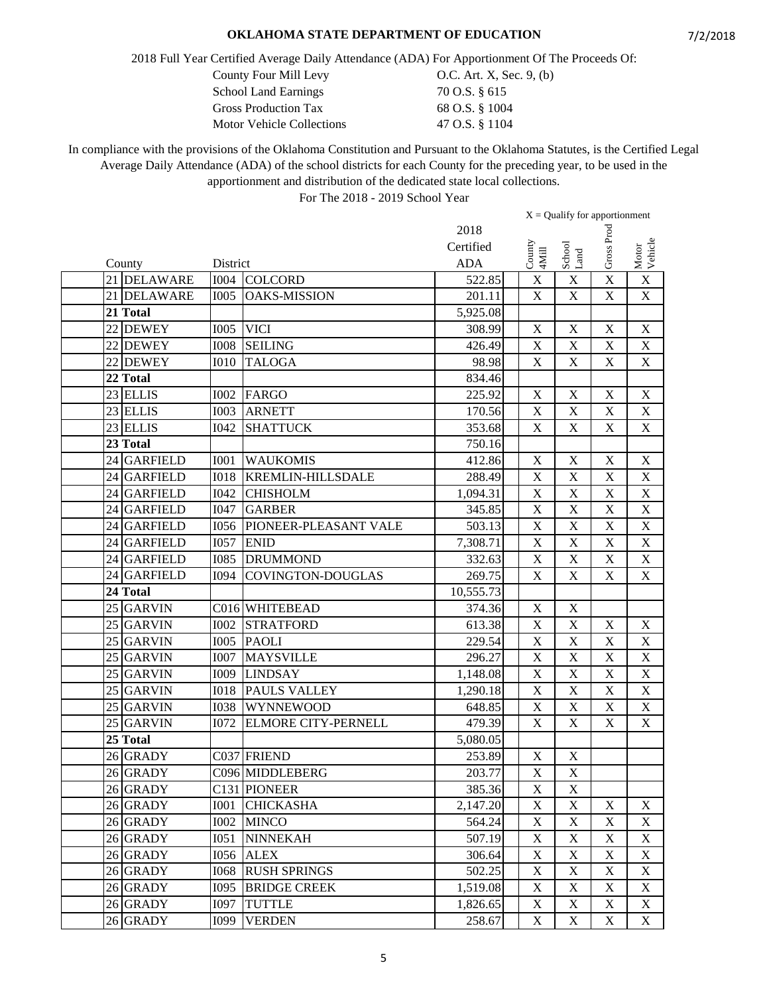2018 Full Year Certified Average Daily Attendance (ADA) For Apportionment Of The Proceeds Of:

County Four Mill Levy  $O.C.$  Art. X, Sec. 9, (b)

| <b>School Land Earnings</b>      | 70 O.S. § 615  |
|----------------------------------|----------------|
| <b>Gross Production Tax</b>      | 68 O.S. § 1004 |
| <b>Motor Vehicle Collections</b> | 47 O.S. § 1104 |

In compliance with the provisions of the Oklahoma Constitution and Pursuant to the Oklahoma Statutes, is the Certified Legal Average Daily Attendance (ADA) of the school districts for each County for the preceding year, to be used in the apportionment and distribution of the dedicated state local collections.

|             |             |                            |            | $X =$ Qualify for apportionment |                         |                           |                           |
|-------------|-------------|----------------------------|------------|---------------------------------|-------------------------|---------------------------|---------------------------|
|             |             |                            | 2018       |                                 |                         |                           |                           |
|             |             |                            | Certified  |                                 |                         | Gross Proc                |                           |
| County      | District    |                            | <b>ADA</b> | County<br>4Mill                 | School<br>Land          |                           | Motor<br>Vehicle          |
| 21 DELAWARE | <b>I004</b> | <b>COLCORD</b>             | 522.85     | $\boldsymbol{\mathrm{X}}$       | $\mathbf X$             | X                         | $\mathbf X$               |
| 21 DELAWARE | <b>I005</b> | <b>OAKS-MISSION</b>        | 201.11     | $\mathbf X$                     | $\mathbf X$             | $\mathbf X$               | $\mathbf X$               |
| 21 Total    |             |                            | 5,925.08   |                                 |                         |                           |                           |
| 22 DEWEY    | <b>I005</b> | <b>VICI</b>                | 308.99     | X                               | $\mathbf X$             | $\mathbf X$               | $\mathbf X$               |
| 22 DEWEY    | <b>IOO8</b> | <b>SEILING</b>             | 426.49     | $\boldsymbol{\mathrm{X}}$       | $\mathbf X$             | $\mathbf X$               | X                         |
| 22 DEWEY    | <b>I010</b> | <b>TALOGA</b>              | 98.98      | $\mathbf X$                     | $\mathbf X$             | $\mathbf X$               | $\mathbf X$               |
| 22 Total    |             |                            | 834.46     |                                 |                         |                           |                           |
| $23$ ELLIS  | <b>I002</b> | <b>FARGO</b>               | 225.92     | $\mathbf X$                     | $\mathbf X$             | $\mathbf X$               | $\mathbf X$               |
| 23 ELLIS    | <b>I003</b> | <b>ARNETT</b>              | 170.56     | $\boldsymbol{\mathrm{X}}$       | X                       | $\mathbf X$               | $\mathbf X$               |
| 23 ELLIS    | I042        | <b>SHATTUCK</b>            | 353.68     | $\mathbf X$                     | X                       | $\mathbf X$               | $\overline{\mathbf{X}}$   |
| 23 Total    |             |                            | 750.16     |                                 |                         |                           |                           |
| 24 GARFIELD | <b>I001</b> | <b>WAUKOMIS</b>            | 412.86     | $\mathbf X$                     | $\mathbf X$             | $\mathbf X$               | $\mathbf X$               |
| 24 GARFIELD | <b>IO18</b> | <b>KREMLIN-HILLSDALE</b>   | 288.49     | $\mathbf X$                     | $\mathbf X$             | $\mathbf X$               | $\mathbf X$               |
| 24 GARFIELD | I042        | <b>CHISHOLM</b>            | 1,094.31   | X                               | $\overline{\text{X}}$   | X                         | $\mathbf X$               |
| 24 GARFIELD | I047        | <b>GARBER</b>              | 345.85     | X                               | X                       | $\mathbf X$               | $\boldsymbol{\mathrm{X}}$ |
| 24 GARFIELD | 1056        | PIONEER-PLEASANT VALE      | 503.13     | X                               | X                       | $\boldsymbol{\mathrm{X}}$ | $\overline{\text{X}}$     |
| 24 GARFIELD | <b>I057</b> | <b>ENID</b>                | 7,308.71   | $\mathbf X$                     | $\mathbf X$             | $\mathbf X$               | $\mathbf X$               |
| 24 GARFIELD | <b>I085</b> | <b>DRUMMOND</b>            | 332.63     | $\overline{X}$                  | $\overline{\mathrm{X}}$ | $\mathbf X$               | $\overline{\text{X}}$     |
| 24 GARFIELD | <b>I094</b> | <b>COVINGTON-DOUGLAS</b>   | 269.75     | $\mathbf X$                     | $\overline{\mathbf{X}}$ | $\mathbf X$               | $\mathbf X$               |
| 24 Total    |             |                            | 10,555.73  |                                 |                         |                           |                           |
| 25 GARVIN   |             | C016 WHITEBEAD             | 374.36     | $\boldsymbol{\mathrm{X}}$       | $\mathbf X$             |                           |                           |
| 25 GARVIN   | <b>I002</b> | <b>STRATFORD</b>           | 613.38     | $\mathbf X$                     | $\mathbf X$             | $\boldsymbol{\mathrm{X}}$ | $\mathbf X$               |
| 25 GARVIN   | <b>I005</b> | <b>PAOLI</b>               | 229.54     | $\boldsymbol{\mathrm{X}}$       | $\mathbf X$             | $\mathbf X$               | $\mathbf X$               |
| 25 GARVIN   | <b>I007</b> | <b>MAYSVILLE</b>           | 296.27     | $\mathbf X$                     | $\mathbf X$             | $\mathbf X$               | $\mathbf X$               |
| $25$ GARVIN | I009        | <b>LINDSAY</b>             | 1,148.08   | $\mathbf X$                     | $\overline{X}$          | X                         | $\overline{X}$            |
| 25 GARVIN   | <b>I018</b> | <b>PAULS VALLEY</b>        | 1,290.18   | $\boldsymbol{\mathrm{X}}$       | X                       | $\mathbf X$               | $\mathbf X$               |
| 25 GARVIN   | 1038        | <b>WYNNEWOOD</b>           | 648.85     | $\mathbf X$                     | $\overline{\mathrm{X}}$ | $\mathbf X$               | $\overline{\text{X}}$     |
| 25 GARVIN   | <b>I072</b> | <b>ELMORE CITY-PERNELL</b> | 479.39     | $\mathbf X$                     | $\mathbf X$             | $\mathbf X$               | $\mathbf X$               |
| 25 Total    |             |                            | 5,080.05   |                                 |                         |                           |                           |
| $26$ GRADY  |             | C037 FRIEND                | 253.89     | $\mathbf X$                     | $\mathbf X$             |                           |                           |
| 26 GRADY    |             | C096 MIDDLEBERG            | 203.77     | $\overline{\textbf{X}}$         | $\overline{X}$          |                           |                           |
| 26 GRADY    |             | C131 PIONEER               | 385.36     | X                               | $\mathbf X$             |                           |                           |
| 26 GRADY    | <b>I001</b> | <b>CHICKASHA</b>           | 2,147.20   | $\mathbf X$                     | $\mathbf X$             | X                         | X                         |
| 26 GRADY    | <b>I002</b> | <b>MINCO</b>               | 564.24     | $\mathbf X$                     | $\mathbf X$             | $\mathbf X$               | X                         |
| 26 GRADY    | I051        | <b>NINNEKAH</b>            | 507.19     | $\boldsymbol{\mathrm{X}}$       | $\mathbf X$             | $\mathbf X$               | X                         |
| 26 GRADY    | 1056        | <b>ALEX</b>                | 306.64     | $\mathbf X$                     | $\mathbf X$             | X                         | X                         |
| 26 GRADY    | 1068        | <b>RUSH SPRINGS</b>        | 502.25     | $\mathbf X$                     | $\mathbf X$             | $\mathbf X$               | X                         |
| 26 GRADY    | I095        | <b>BRIDGE CREEK</b>        | 1,519.08   | $\mathbf X$                     | $\mathbf X$             | X                         | $\boldsymbol{\mathrm{X}}$ |
| 26 GRADY    | <b>I097</b> | <b>TUTTLE</b>              | 1,826.65   | $\mathbf X$                     | $\mathbf X$             | X                         | $\boldsymbol{\mathrm{X}}$ |
| 26 GRADY    | <b>I099</b> | <b>VERDEN</b>              | 258.67     | $\boldsymbol{\mathrm{X}}$       | $\mathbf X$             | $\mathbf X$               | X                         |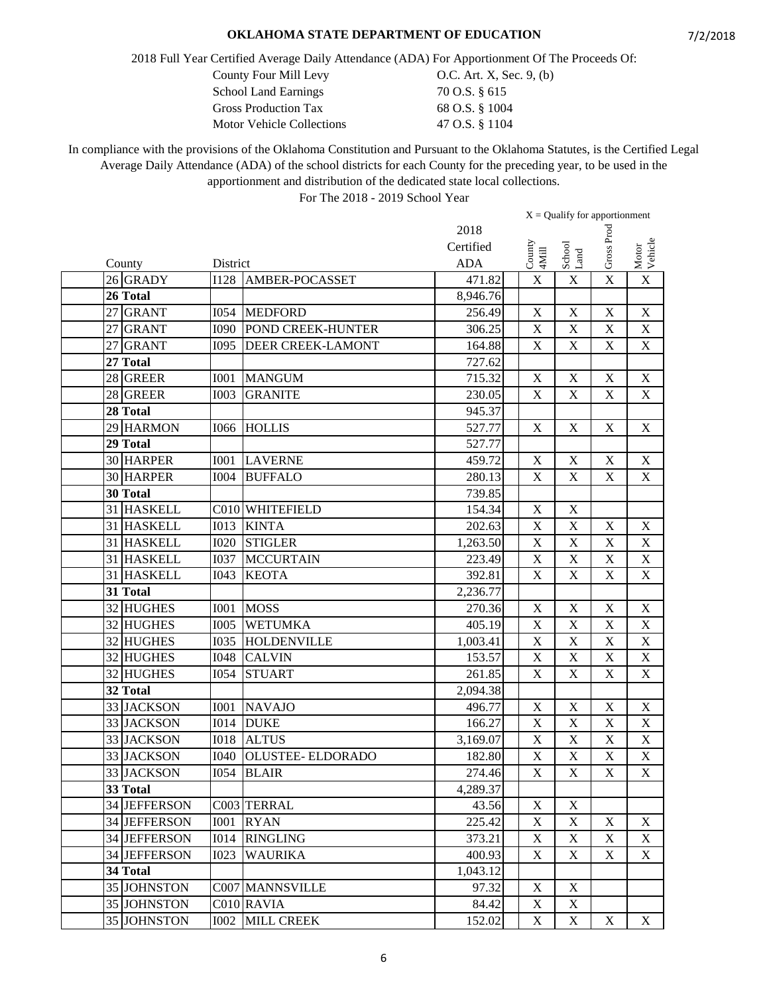2018 Full Year Certified Average Daily Attendance (ADA) For Apportionment Of The Proceeds Of:

County Four Mill Levy 0.C. Art. X, Sec. 9, (b)

| <b>School Land Earnings</b>      | 70 O.S. § 615  |
|----------------------------------|----------------|
| <b>Gross Production Tax</b>      | 68 O.S. § 1004 |
| <b>Motor Vehicle Collections</b> | 47 O.S. § 1104 |

In compliance with the provisions of the Oklahoma Constitution and Pursuant to the Oklahoma Statutes, is the Certified Legal Average Daily Attendance (ADA) of the school districts for each County for the preceding year, to be used in the apportionment and distribution of the dedicated state local collections.

|              |             |                          |            | $X =$ Qualify for apportionment |                         |                           |                           |
|--------------|-------------|--------------------------|------------|---------------------------------|-------------------------|---------------------------|---------------------------|
|              |             |                          | 2018       |                                 |                         |                           |                           |
|              |             |                          | Certified  |                                 |                         | Gross Proc                |                           |
| County       | District    |                          | <b>ADA</b> | County<br>4Mill                 | School<br>Land          |                           | Motor<br>Vehicle          |
| 26 GRADY     | <b>I128</b> | <b>AMBER-POCASSET</b>    | 471.82     | $\mathbf X$                     | $\mathbf X$             | X                         | $\mathbf X$               |
| 26 Total     |             |                          | 8,946.76   |                                 |                         |                           |                           |
| 27 GRANT     | <b>I054</b> | <b>MEDFORD</b>           | 256.49     | $\mathbf X$                     | $\mathbf X$             | $\mathbf X$               | $\mathbf X$               |
| 27 GRANT     | <b>I090</b> | POND CREEK-HUNTER        | 306.25     | $\mathbf X$                     | $\mathbf X$             | $\mathbf X$               | $\mathbf X$               |
| 27 GRANT     | <b>I095</b> | <b>DEER CREEK-LAMONT</b> | 164.88     | $\mathbf X$                     | $\mathbf X$             | $\mathbf X$               | $\boldsymbol{\mathrm{X}}$ |
| 27 Total     |             |                          | 727.62     |                                 |                         |                           |                           |
| 28 GREER     | <b>I001</b> | <b>MANGUM</b>            | 715.32     | $\mathbf X$                     | $\mathbf X$             | $\mathbf X$               | $\mathbf X$               |
| 28 GREER     | <b>I003</b> | <b>GRANITE</b>           | 230.05     | $\mathbf X$                     | $\mathbf X$             | $\mathbf X$               | X                         |
| 28 Total     |             |                          | 945.37     |                                 |                         |                           |                           |
| 29 HARMON    | I066        | <b>HOLLIS</b>            | 527.77     | $\mathbf X$                     | $\mathbf X$             | $\mathbf X$               | $\mathbf X$               |
| 29 Total     |             |                          | 527.77     |                                 |                         |                           |                           |
| 30 HARPER    | <b>I001</b> | <b>LAVERNE</b>           | 459.72     | $\mathbf X$                     | $\mathbf X$             | $\mathbf X$               | $\mathbf X$               |
| 30 HARPER    | <b>I004</b> | <b>BUFFALO</b>           | 280.13     | $\mathbf X$                     | $\mathbf X$             | $\mathbf X$               | $\mathbf X$               |
| 30 Total     |             |                          | 739.85     |                                 |                         |                           |                           |
| 31 HASKELL   |             | C010 WHITEFIELD          | 154.34     | $\mathbf X$                     | $\mathbf X$             |                           |                           |
| 31 HASKELL   | I013        | <b>KINTA</b>             | 202.63     | $\mathbf X$                     | $\mathbf X$             | $\mathbf X$               | $\mathbf X$               |
| 31 HASKELL   | <b>I020</b> | <b>STIGLER</b>           | 1,263.50   | $\overline{\mathbf{X}}$         | $\overline{\mathbf{X}}$ | $\boldsymbol{\mathrm{X}}$ | $\mathbf X$               |
| 31 HASKELL   | <b>I037</b> | <b>MCCURTAIN</b>         | 223.49     | $\overline{X}$                  | $\overline{\mathbf{X}}$ | $\mathbf X$               | $\mathbf X$               |
| 31 HASKELL   | <b>I043</b> | <b>KEOTA</b>             | 392.81     | $\mathbf X$                     | $\mathbf X$             | $\mathbf X$               | $\mathbf X$               |
| 31 Total     |             |                          | 2,236.77   |                                 |                         |                           |                           |
| $32$ HUGHES  | <b>I001</b> | <b>MOSS</b>              | 270.36     | $\mathbf X$                     | $\mathbf X$             | $\mathbf X$               | $\mathbf X$               |
| 32 HUGHES    | <b>I005</b> | <b>WETUMKA</b>           | 405.19     | $\mathbf X$                     | $\mathbf X$             | $\mathbf X$               | $\mathbf X$               |
| 32 HUGHES    | <b>I035</b> | <b>HOLDENVILLE</b>       | 1,003.41   | $\mathbf X$                     | $\mathbf X$             | $\mathbf X$               | $\mathbf X$               |
| 32 HUGHES    | <b>I048</b> | <b>CALVIN</b>            | 153.57     | $\mathbf X$                     | $\mathbf X$             | $\mathbf X$               | $\mathbf X$               |
| 32 HUGHES    | <b>I054</b> | <b>STUART</b>            | 261.85     | $\mathbf X$                     | $\mathbf X$             | $\mathbf X$               | $\mathbf X$               |
| 32 Total     |             |                          | 2,094.38   |                                 |                         |                           |                           |
| 33 JACKSON   | <b>I001</b> | <b>NAVAJO</b>            | 496.77     | $\mathbf X$                     | $\mathbf X$             | $\mathbf X$               | $\mathbf X$               |
| 33 JACKSON   | <b>I014</b> | <b>DUKE</b>              | 166.27     | $\mathbf X$                     | $\mathbf X$             | $\mathbf X$               | $\mathbf X$               |
| 33 JACKSON   | <b>I018</b> | <b>ALTUS</b>             | 3,169.07   | $\mathbf X$                     | $\mathbf X$             | $\mathbf X$               | $\mathbf X$               |
| 33 JACKSON   | <b>I040</b> | <b>OLUSTEE- ELDORADO</b> | 182.80     | $\mathbf X$                     | $\mathbf X$             | $\mathbf X$               | X                         |
| 33 JACKSON   |             | I054 BLAIR               | 274.46     | $\overline{\textbf{X}}$         | $\overline{\textbf{X}}$ | $\overline{\textbf{X}}$   | $\overline{\mathbf{X}}$   |
| 33 Total     |             |                          | 4,289.37   |                                 |                         |                           |                           |
| 34 JEFFERSON |             | C003 TERRAL              | 43.56      | X                               | X                       |                           |                           |
| 34 JEFFERSON | <b>I001</b> | <b>RYAN</b>              | 225.42     | $\mathbf X$                     | $\mathbf X$             | $\mathbf X$               | X                         |
| 34 JEFFERSON | <b>I014</b> | <b>RINGLING</b>          | 373.21     | $\mathbf X$                     | $\mathbf X$             | $\mathbf X$               | X                         |
| 34 JEFFERSON | <b>I023</b> | <b>WAURIKA</b>           | 400.93     | X                               | $\mathbf X$             | X                         | X                         |
| 34 Total     |             |                          | 1,043.12   |                                 |                         |                           |                           |
| 35 JOHNSTON  |             | <b>C007 MANNSVILLE</b>   | 97.32      | X                               | $\mathbf X$             |                           |                           |
| 35 JOHNSTON  |             | C010 RAVIA               | 84.42      | $\mathbf X$                     | X                       |                           |                           |
| 35 JOHNSTON  | <b>I002</b> | <b>MILL CREEK</b>        | 152.02     | $\mathbf X$                     | $\mathbf X$             | $\mathbf X$               | X                         |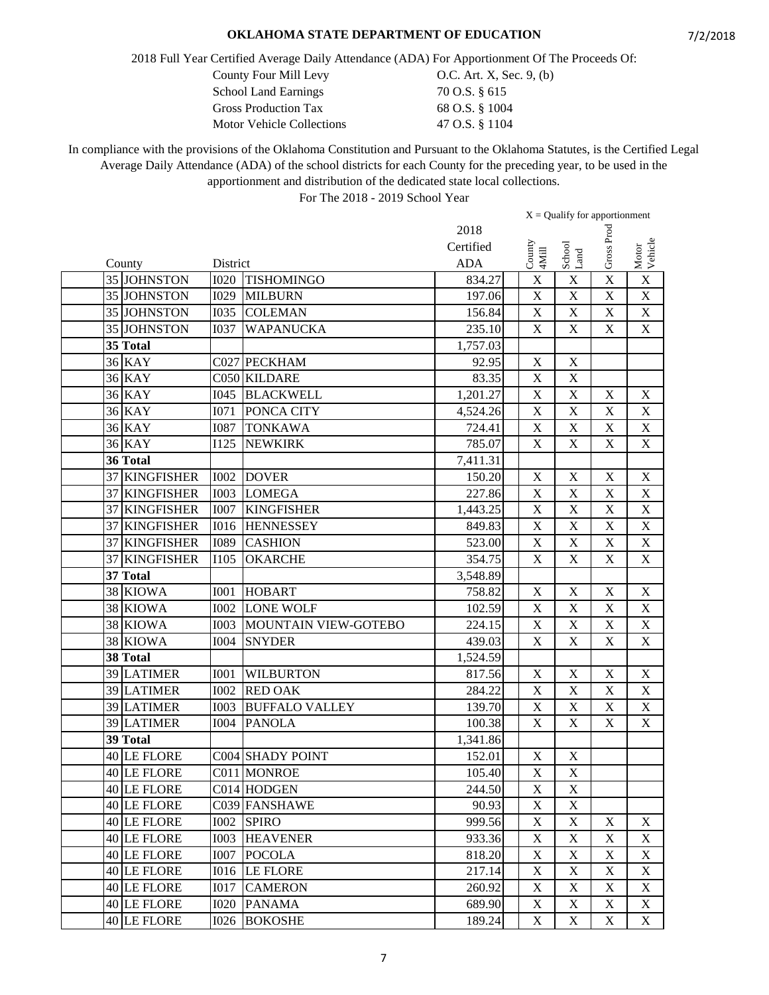2018 Full Year Certified Average Daily Attendance (ADA) For Apportionment Of The Proceeds Of:

County Four Mill Levy  $O.C.$  Art. X, Sec. 9, (b)

| <b>School Land Earnings</b>      | 70 O.S. § 615  |
|----------------------------------|----------------|
| <b>Gross Production Tax</b>      | 68 O.S. § 1004 |
| <b>Motor Vehicle Collections</b> | 47 O.S. § 1104 |

In compliance with the provisions of the Oklahoma Constitution and Pursuant to the Oklahoma Statutes, is the Certified Legal Average Daily Attendance (ADA) of the school districts for each County for the preceding year, to be used in the apportionment and distribution of the dedicated state local collections.

|                         |             |                       |                     |                                | $X =$ Qualify for apportionment |             |                           |
|-------------------------|-------------|-----------------------|---------------------|--------------------------------|---------------------------------|-------------|---------------------------|
|                         |             |                       | 2018                |                                |                                 |             |                           |
|                         |             |                       | Certified           |                                |                                 | Gross Proc  |                           |
| County                  | District    |                       | <b>ADA</b>          | $\operatorname{Conv}$<br>4Mill | School<br>Land                  |             | Motor<br>Vehicle          |
| 35 JOHNSTON             | <b>I020</b> | <b>TISHOMINGO</b>     | 834.27              | X                              | $\mathbf X$                     | X           | $\mathbf X$               |
| 35 JOHNSTON             | <b>I029</b> | <b>MILBURN</b>        | 197.06              | $\mathbf X$                    | $\mathbf X$                     | $\mathbf X$ | $\mathbf X$               |
| 35 JOHNSTON             | <b>I035</b> | <b>COLEMAN</b>        | 156.84              | $\mathbf X$                    | $\mathbf X$                     | X           | $\mathbf X$               |
| 35 JOHNSTON             | <b>I037</b> | <b>WAPANUCKA</b>      | 235.10              | $\mathbf X$                    | $\mathbf X$                     | $\mathbf X$ | $\mathbf X$               |
| 35 Total                |             |                       | 1,757.03            |                                |                                 |             |                           |
| <b>36 KAY</b>           |             | C027 PECKHAM          | 92.95               | $\mathbf X$                    | $\mathbf X$                     |             |                           |
| <b>36 KAY</b>           |             | C050 KILDARE          | 83.35               | $\overline{\mathbf{X}}$        | $\overline{X}$                  |             |                           |
| <b>36 KAY</b>           | <b>I045</b> | <b>BLACKWELL</b>      | 1,201.27            | $\overline{\mathrm{X}}$        | $\overline{\mathbf{X}}$         | $\mathbf X$ | $\mathbf X$               |
| <b>36 KAY</b>           | <b>I071</b> | PONCA CITY            | 4,524.26            | X                              | $\overline{X}$                  | $\mathbf X$ | $\overline{X}$            |
| <b>36 KAY</b>           | <b>I087</b> | <b>TONKAWA</b>        | 724.41              | $\mathbf X$                    | $\mathbf X$                     | $\mathbf X$ | $\mathbf X$               |
| <b>36 KAY</b>           | <b>I125</b> | <b>NEWKIRK</b>        | 785.07              | $\mathbf X$                    | $\mathbf X$                     | $\mathbf X$ | $\boldsymbol{\mathrm{X}}$ |
| 36 Total                |             |                       | 7,411.31            |                                |                                 |             |                           |
| 37 KINGFISHER           | <b>I002</b> | <b>DOVER</b>          | 150.20              | $\mathbf X$                    | $\mathbf X$                     | $\mathbf X$ | $\mathbf X$               |
| 37 KINGFISHER           | <b>I003</b> | <b>LOMEGA</b>         | 227.86              | X                              | $\overline{X}$                  | X           | $\overline{\mathbf{X}}$   |
| <b>KINGFISHER</b><br>37 | <b>I007</b> | <b>KINGFISHER</b>     | 1,443.25            | X                              | $\mathbf X$                     | X           | $\mathbf X$               |
| 37 KINGFISHER           | <b>I016</b> | <b>HENNESSEY</b>      | 849.83              | $\mathbf X$                    | $\mathbf X$                     | X           | $\mathbf X$               |
| 37 KINGFISHER           | <b>I089</b> | <b>CASHION</b>        | $\overline{523.00}$ | $\mathbf X$                    | $\mathbf X$                     | X           | $\mathbf X$               |
| 37 KINGFISHER           | <b>I105</b> | <b>OKARCHE</b>        | 354.75              | $\mathbf X$                    | $\mathbf X$                     | $\mathbf X$ | $\mathbf X$               |
| 37 Total                |             |                       | 3,548.89            |                                |                                 |             |                           |
| 38 KIOWA                | <b>I001</b> | <b>HOBART</b>         | 758.82              | $\mathbf X$                    | $\mathbf X$                     | $\mathbf X$ | $\mathbf X$               |
| 38 KIOWA                | <b>I002</b> | <b>LONE WOLF</b>      | 102.59              | $\mathbf X$                    | X                               | $\mathbf X$ | $\mathbf X$               |
| 38 KIOWA                | <b>I003</b> | MOUNTAIN VIEW-GOTEBO  | 224.15              | $\mathbf X$                    | $\mathbf X$                     | $\mathbf X$ | $\mathbf X$               |
| 38 KIOWA                | <b>I004</b> | <b>SNYDER</b>         | 439.03              | $\mathbf X$                    | $\mathbf X$                     | X           | $\mathbf X$               |
| 38 Total                |             |                       | 1,524.59            |                                |                                 |             |                           |
| 39 LATIMER              | <b>I001</b> | <b>WILBURTON</b>      | 817.56              | $\mathbf X$                    | $\mathbf X$                     | $\mathbf X$ | $\mathbf X$               |
| 39 LATIMER              | <b>I002</b> | <b>RED OAK</b>        | 284.22              | $\mathbf X$                    | X                               | $\mathbf X$ | $\mathbf X$               |
| 39 LATIMER              | <b>I003</b> | <b>BUFFALO VALLEY</b> | 139.70              | $\mathbf X$                    | $\boldsymbol{\mathrm{X}}$       | $\mathbf X$ | $\overline{X}$            |
| 39 LATIMER              | <b>I004</b> | <b>PANOLA</b>         | 100.38              | $\mathbf X$                    | $\mathbf X$                     | $\mathbf X$ | $\mathbf X$               |
| 39 Total                |             |                       | 1,341.86            |                                |                                 |             |                           |
| 40 LE FLORE             |             | C004 SHADY POINT      | 152.01              | $\mathbf X$                    | $\mathbf X$                     |             |                           |
| 40 LE FLORE             |             | C011 MONROE           | 105.40              | $\boldsymbol{\mathrm{X}}$      | $\overline{\textbf{X}}$         |             |                           |
| 40 LE FLORE             |             | C014 HODGEN           | 244.50              | $\mathbf X$                    | $\mathbf X$                     |             |                           |
| 40 LE FLORE             |             | C039 FANSHAWE         | 90.93               | X                              | $\mathbf X$                     |             |                           |
| 40 LE FLORE             | <b>I002</b> | <b>SPIRO</b>          | 999.56              | $\mathbf X$                    | $\mathbf X$                     | $\mathbf X$ | $\mathbf X$               |
| 40 LE FLORE             | <b>I003</b> | <b>HEAVENER</b>       | 933.36              | $\mathbf X$                    | $\mathbf X$                     | $\mathbf X$ | $\boldsymbol{\mathrm{X}}$ |
| 40 LE FLORE             | <b>I007</b> | <b>POCOLA</b>         | 818.20              | $\mathbf X$                    | $\mathbf X$                     | $\mathbf X$ | X                         |
| 40 LE FLORE             | <b>I016</b> | <b>LE FLORE</b>       | 217.14              | $\mathbf X$                    | $\mathbf X$                     | X           | $\mathbf X$               |
| 40 LE FLORE             | <b>IO17</b> | <b>CAMERON</b>        | 260.92              | $\mathbf X$                    | $\mathbf X$                     | X           | $\boldsymbol{\mathrm{X}}$ |
| 40 LE FLORE             | <b>I020</b> | <b>PANAMA</b>         | 689.90              | $\mathbf X$                    | $\mathbf X$                     | $\mathbf X$ | $\boldsymbol{\mathrm{X}}$ |
| 40 LE FLORE             | <b>I026</b> | <b>BOKOSHE</b>        | 189.24              | $\mathbf X$                    | $\mathbf X$                     | $\mathbf X$ | $\mathbf X$               |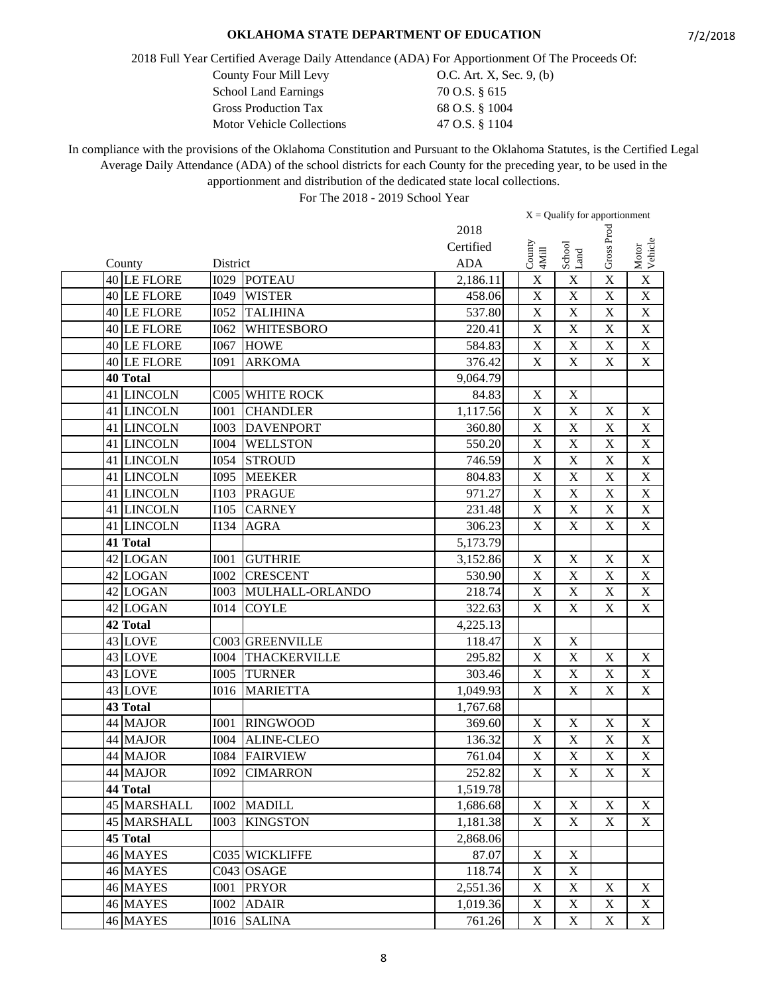2018 Full Year Certified Average Daily Attendance (ADA) For Apportionment Of The Proceeds Of:

County Four Mill Levy 0.C. Art. X, Sec. 9, (b)

| <b>School Land Earnings</b>      | 70 O.S. § 615  |
|----------------------------------|----------------|
| <b>Gross Production Tax</b>      | 68 O.S. § 1004 |
| <b>Motor Vehicle Collections</b> | 47 O.S. § 1104 |

In compliance with the provisions of the Oklahoma Constitution and Pursuant to the Oklahoma Statutes, is the Certified Legal Average Daily Attendance (ADA) of the school districts for each County for the preceding year, to be used in the apportionment and distribution of the dedicated state local collections.

|    |                 |             |                      |            | $X =$ Qualify for apportionment |                         |                           |                           |                           |
|----|-----------------|-------------|----------------------|------------|---------------------------------|-------------------------|---------------------------|---------------------------|---------------------------|
|    |                 |             |                      | 2018       |                                 |                         |                           |                           |                           |
|    |                 |             |                      | Certified  |                                 |                         |                           | Gross Proc                |                           |
|    | County          | District    |                      | <b>ADA</b> | County<br>4Mill                 |                         | School<br>Land            |                           | Motor<br>Vehicle          |
|    | 40 LE FLORE     | I029        | <b>POTEAU</b>        | 2,186.11   |                                 | X                       | $\mathbf X$               | $\overline{\mathbf{X}}$   | $\mathbf X$               |
|    | 40 LE FLORE     | I049        | <b>WISTER</b>        | 458.06     | $\mathbf X$                     |                         | $\mathbf X$               | $\mathbf X$               | $\mathbf X$               |
|    | 40 LE FLORE     | <b>I052</b> | <b>TALIHINA</b>      | 537.80     | X                               |                         | $\overline{\mathbf{X}}$   | X                         | $\mathbf X$               |
|    | 40 LE FLORE     | I062        | <b>WHITESBORO</b>    | 220.41     |                                 | X                       | X                         | $\mathbf X$               | $\mathbf X$               |
|    | 40 LE FLORE     | I067        | <b>HOWE</b>          | 584.83     | $\boldsymbol{\mathrm{X}}$       |                         | $\mathbf X$               | $\mathbf X$               | $\boldsymbol{\mathrm{X}}$ |
|    | 40 LE FLORE     | <b>I091</b> | <b>ARKOMA</b>        | 376.42     | $\mathbf X$                     |                         | $\mathbf X$               | $\mathbf X$               | $\mathbf X$               |
|    | <b>40 Total</b> |             |                      | 9,064.79   |                                 |                         |                           |                           |                           |
|    | 41 LINCOLN      |             | C005 WHITE ROCK      | 84.83      | $\mathbf X$                     |                         | $\mathbf X$               |                           |                           |
|    | 41 LINCOLN      | <b>I001</b> | <b>CHANDLER</b>      | 1,117.56   | $\boldsymbol{\mathrm{X}}$       |                         | $\mathbf X$               | $\mathbf X$               | $\boldsymbol{\mathrm{X}}$ |
|    | 41 LINCOLN      | <b>I003</b> | <b>DAVENPORT</b>     | 360.80     |                                 | $\mathbf X$             | $\overline{\text{X}}$     | $\mathbf X$               | $\overline{X}$            |
| 41 | <b>LINCOLN</b>  | <b>I004</b> | <b>WELLSTON</b>      | 550.20     |                                 | $\mathbf X$             | $\mathbf X$               | $\mathbf X$               | $\mathbf X$               |
|    | 41 LINCOLN      | <b>I054</b> | <b>STROUD</b>        | 746.59     | $\boldsymbol{\mathrm{X}}$       |                         | $\mathbf X$               | $\boldsymbol{\mathrm{X}}$ | $\mathbf X$               |
|    | 41 LINCOLN      | I095        | <b>MEEKER</b>        | 804.83     | $\mathbf X$                     |                         | $\mathbf X$               | $\mathbf X$               | $\mathbf X$               |
|    | 41 LINCOLN      | I103        | <b>PRAGUE</b>        | 971.27     |                                 | X                       | $\overline{\text{X}}$     | X                         | $\overline{X}$            |
|    | 41 LINCOLN      | I105        | <b>CARNEY</b>        | 231.48     |                                 | X                       | X                         | $\mathbf X$               | $\mathbf X$               |
|    | 41 LINCOLN      | I134        | <b>AGRA</b>          | 306.23     |                                 | X                       | X                         | $\mathbf X$               | $\mathbf X$               |
|    | 41 Total        |             |                      | 5,173.79   |                                 |                         |                           |                           |                           |
|    | 42 LOGAN        | <b>I001</b> | <b>GUTHRIE</b>       | 3,152.86   |                                 | $\mathbf X$             | $\mathbf X$               | $\mathbf X$               | $\mathbf X$               |
|    | 42 LOGAN        | <b>I002</b> | <b>CRESCENT</b>      | 530.90     | $\boldsymbol{\mathrm{X}}$       |                         | $\overline{\mathbf{X}}$   | $\mathbf X$               | $\mathbf X$               |
|    | 42 LOGAN        | <b>I003</b> | MULHALL-ORLANDO      | 218.74     | X                               |                         | $\overline{\text{X}}$     | $\mathbf X$               | $\overline{X}$            |
|    | 42 LOGAN        | <b>I014</b> | <b>COYLE</b>         | 322.63     |                                 | $\mathbf X$             | $\mathbf X$               | $\mathbf X$               | $\mathbf X$               |
|    | 42 Total        |             |                      | 4,225.13   |                                 |                         |                           |                           |                           |
|    | 43 LOVE         |             | C003 GREENVILLE      | 118.47     |                                 | $\mathbf X$             | $\mathbf X$               |                           |                           |
|    | 43 LOVE         | <b>I004</b> | <b>THACKERVILLE</b>  | 295.82     | $\mathbf X$                     |                         | $\mathbf X$               | $\mathbf X$               | $\boldsymbol{\mathrm{X}}$ |
|    | 43 LOVE         | <b>I005</b> | <b>TURNER</b>        | 303.46     |                                 | $\mathbf X$             | $\overline{X}$            | $\mathbf X$               | $\mathbf X$               |
|    | 43 LOVE         | <b>I016</b> | <b>MARIETTA</b>      | 1,049.93   |                                 | X                       | X                         | $\mathbf X$               | $\mathbf X$               |
|    | 43 Total        |             |                      | 1,767.68   |                                 |                         |                           |                           |                           |
|    | 44 MAJOR        | <b>I001</b> | <b>RINGWOOD</b>      | 369.60     | $\mathbf X$                     |                         | $\mathbf X$               | $\mathbf X$               | $\mathbf X$               |
|    | 44 MAJOR        | <b>I004</b> | <b>ALINE-CLEO</b>    | 136.32     | $\mathbf X$                     |                         | $\mathbf X$               | $\mathbf X$               | $\mathbf X$               |
|    | 44 MAJOR        | <b>I084</b> | <b>FAIRVIEW</b>      | 761.04     |                                 | X                       | $\bar{X}$                 | $\mathbf X$               | $\mathbf X$               |
|    | 44 MAJOR        |             | <b>I092 CIMARRON</b> | 252.82     |                                 | $\overline{\textbf{X}}$ | $\overline{\textbf{X}}$   | $\overline{\textbf{X}}$   | $\overline{\mathbf{X}}$   |
|    | 44 Total        |             |                      | 1,519.78   |                                 |                         |                           |                           |                           |
|    | 45 MARSHALL     | <b>I002</b> | <b>MADILL</b>        | 1,686.68   |                                 | X                       | X                         | X                         | X                         |
|    | 45 MARSHALL     | <b>I003</b> | <b>KINGSTON</b>      | 1,181.38   |                                 | $\mathbf X$             | X                         | $\mathbf X$               | X                         |
|    | 45 Total        |             |                      | 2,868.06   |                                 |                         |                           |                           |                           |
|    | 46 MAYES        |             | C035 WICKLIFFE       | 87.07      |                                 | $\mathbf X$             | $\mathbf X$               |                           |                           |
|    | 46 MAYES        |             | C043 OSAGE           | 118.74     |                                 | $\mathbf X$             | $\mathbf X$               |                           |                           |
|    | 46 MAYES        | <b>IOO1</b> | <b>PRYOR</b>         | 2,551.36   |                                 | $\mathbf X$             | $\boldsymbol{\mathrm{X}}$ | X                         | X                         |
|    | 46 MAYES        | <b>I002</b> | <b>ADAIR</b>         | 1,019.36   |                                 | $\mathbf X$             | $\mathbf X$               | $\mathbf X$               | X                         |
|    | 46 MAYES        | <b>I016</b> | <b>SALINA</b>        | 761.26     |                                 | $\mathbf X$             | $\mathbf X$               | $\mathbf X$               | X                         |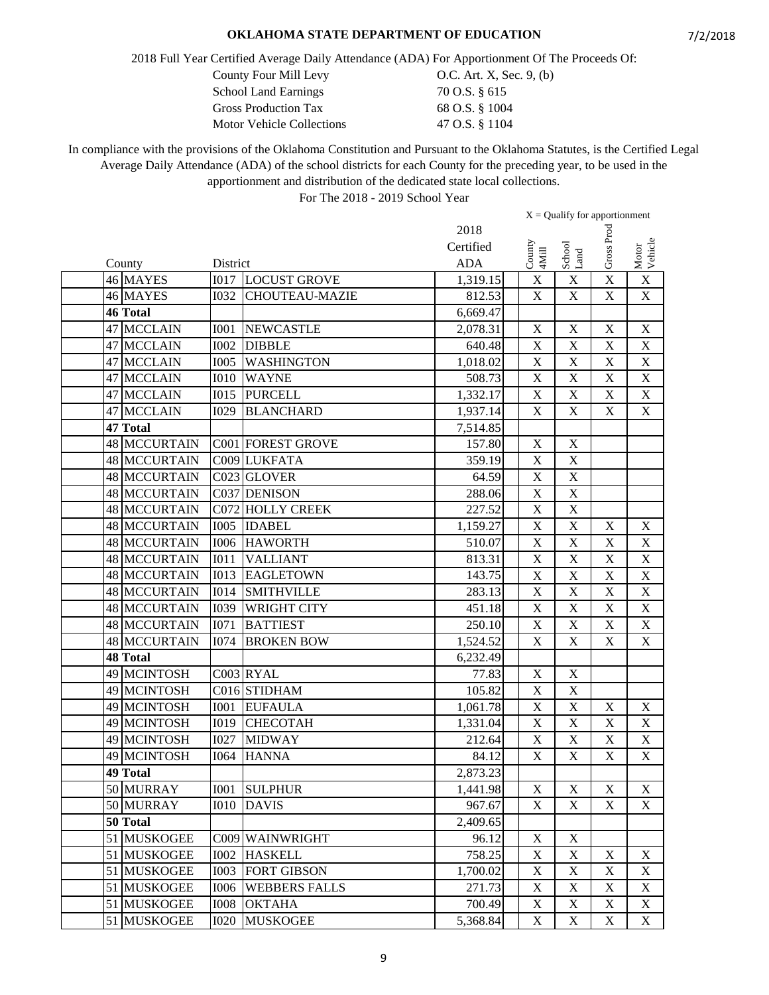2018 Full Year Certified Average Daily Attendance (ADA) For Apportionment Of The Proceeds Of:

County Four Mill Levy 0.C. Art. X, Sec. 9, (b)

| <b>School Land Earnings</b>      | 70 O.S. § 615  |
|----------------------------------|----------------|
| <b>Gross Production Tax</b>      | 68 O.S. § 1004 |
| <b>Motor Vehicle Collections</b> | 47 O.S. § 1104 |

In compliance with the provisions of the Oklahoma Constitution and Pursuant to the Oklahoma Statutes, is the Certified Legal Average Daily Attendance (ADA) of the school districts for each County for the preceding year, to be used in the apportionment and distribution of the dedicated state local collections.

|    |                     |             |                       |            |                           | $X =$ Qualify for apportionment |                           |                           |
|----|---------------------|-------------|-----------------------|------------|---------------------------|---------------------------------|---------------------------|---------------------------|
|    |                     |             |                       | 2018       |                           |                                 |                           |                           |
|    |                     |             |                       | Certified  |                           |                                 | Gross Proc                |                           |
|    | County              | District    |                       | <b>ADA</b> | $\frac{County}{4Mill}$    | School<br>Land                  |                           | Motor<br>Vehicle          |
|    | 46 MAYES            | <b>I017</b> | <b>LOCUST GROVE</b>   | 1,319.15   | $\mathbf X$               | $\mathbf X$                     | X                         | $\mathbf X$               |
|    | 46 MAYES            | <b>I032</b> | <b>CHOUTEAU-MAZIE</b> | 812.53     | $\mathbf X$               | $\mathbf X$                     | $\mathbf X$               | $\overline{X}$            |
|    | <b>46 Total</b>     |             |                       | 6,669.47   |                           |                                 |                           |                           |
|    | 47 MCCLAIN          | <b>I001</b> | <b>NEWCASTLE</b>      | 2,078.31   | $\mathbf X$               | $\mathbf X$                     | $\mathbf X$               | $\boldsymbol{\mathrm{X}}$ |
|    | 47 MCCLAIN          | <b>I002</b> | <b>DIBBLE</b>         | 640.48     | $\boldsymbol{\mathrm{X}}$ | $\mathbf X$                     | $\mathbf X$               | X                         |
|    | 47 MCCLAIN          | <b>I005</b> | <b>WASHINGTON</b>     | 1,018.02   | X                         | $\mathbf X$                     | $\mathbf X$               | $\mathbf X$               |
|    | 47 MCCLAIN          | <b>I010</b> | <b>WAYNE</b>          | 508.73     | $\overline{X}$            | $\overline{X}$                  | $\mathbf X$               | $\overline{\text{X}}$     |
|    | 47 MCCLAIN          | I015        | <b>PURCELL</b>        | 1,332.17   | $\overline{\mathbf{X}}$   | $\overline{X}$                  | $\overline{\mathbf{X}}$   | $\overline{\text{X}}$     |
|    | 47 MCCLAIN          | <b>I029</b> | <b>BLANCHARD</b>      | 1,937.14   | $\boldsymbol{\mathrm{X}}$ | X                               | $\mathbf X$               | $\boldsymbol{\mathrm{X}}$ |
|    | 47 Total            |             |                       | 7,514.85   |                           |                                 |                           |                           |
|    | 48 MCCURTAIN        |             | C001 FOREST GROVE     | 157.80     | $\mathbf X$               | $\mathbf X$                     |                           |                           |
|    | 48 MCCURTAIN        |             | C009 LUKFATA          | 359.19     | $\mathbf X$               | $\mathbf X$                     |                           |                           |
|    | 48 MCCURTAIN        |             | C023 GLOVER           | 64.59      | $\mathbf X$               | $\mathbf X$                     |                           |                           |
|    | 48 MCCURTAIN        |             | C037 DENISON          | 288.06     | X                         | $\overline{\text{X}}$           |                           |                           |
|    | 48 MCCURTAIN        | C072        | <b>HOLLY CREEK</b>    | 227.52     | $\mathbf X$               | $\mathbf X$                     |                           |                           |
|    | 48 MCCURTAIN        | <b>I005</b> | <b>IDABEL</b>         | 1,159.27   | $\boldsymbol{\mathrm{X}}$ | $\overline{\text{X}}$           | $\boldsymbol{\mathrm{X}}$ | $\mathbf X$               |
|    | <b>48 MCCURTAIN</b> | <b>I006</b> | <b>HAWORTH</b>        | 510.07     | $\overline{\mathbf{X}}$   | $\overline{\text{X}}$           | $\mathbf X$               | $\boldsymbol{\mathrm{X}}$ |
|    | 48 MCCURTAIN        | <b>I011</b> | <b>VALLIANT</b>       | 813.31     | $\overline{\mathbf{X}}$   | $\overline{\text{X}}$           | $\mathbf X$               | $\overline{\text{X}}$     |
|    | <b>48 MCCURTAIN</b> | <b>I013</b> | <b>EAGLETOWN</b>      | 143.75     | $\overline{\mathbf{X}}$   | $\overline{X}$                  | $\overline{\mathbf{X}}$   | $\overline{\text{X}}$     |
|    | <b>48 MCCURTAIN</b> | <b>I014</b> | <b>SMITHVILLE</b>     | 283.13     | X                         | $\overline{\text{X}}$           | $\mathbf X$               | $\overline{X}$            |
|    | 48 MCCURTAIN        | <b>I039</b> | <b>WRIGHT CITY</b>    | 451.18     | $\mathbf X$               | $\overline{X}$                  | $\mathbf X$               | $\mathbf X$               |
|    | 48 MCCURTAIN        | <b>I071</b> | <b>BATTIEST</b>       | 250.10     | $\mathbf X$               | $\mathbf X$                     | $\mathbf X$               | $\mathbf X$               |
|    | 48 MCCURTAIN        | <b>I074</b> | <b>BROKEN BOW</b>     | 1,524.52   | $\mathbf X$               | $\mathbf X$                     | $\mathbf X$               | $\mathbf X$               |
|    | <b>48 Total</b>     |             |                       | 6,232.49   |                           |                                 |                           |                           |
|    | 49 MCINTOSH         |             | C003 RYAL             | 77.83      | $\mathbf X$               | $\mathbf X$                     |                           |                           |
|    | 49 MCINTOSH         |             | C016 STIDHAM          | 105.82     | $\mathbf X$               | $\mathbf X$                     |                           |                           |
|    | 49 MCINTOSH         | <b>I001</b> | <b>EUFAULA</b>        | 1,061.78   | $\overline{\mathbf{X}}$   | $\overline{\text{X}}$           | $\mathbf X$               | $\mathbf X$               |
|    | 49 MCINTOSH         | <b>I019</b> | <b>CHECOTAH</b>       | 1,331.04   | $\mathbf X$               | $\mathbf X$                     | $\mathbf X$               | $\mathbf X$               |
|    | 49 MCINTOSH         | <b>I027</b> | <b>MIDWAY</b>         | 212.64     | $\mathbf X$               | $\mathbf X$                     | $\mathbf X$               | $\mathbf X$               |
|    | 49 MCINTOSH         | <b>I064</b> | <b>HANNA</b>          | 84.12      | $\mathbf X$               | X                               | $\mathbf X$               | $\boldsymbol{\mathrm{X}}$ |
|    | 49 Total            |             |                       | 2,873.23   |                           |                                 |                           |                           |
|    | 50 MURRAY           | <b>I001</b> | <b>SULPHUR</b>        | 1,441.98   | $\mathbf X$               | $\mathbf X$                     | $\mathbf X$               | X                         |
|    | 50 MURRAY           | <b>I010</b> | <b>DAVIS</b>          | 967.67     | $\mathbf X$               | $\mathbf X$                     | X                         | X                         |
|    | 50 Total            |             |                       | 2,409.65   |                           |                                 |                           |                           |
|    | 51 MUSKOGEE         | C009        | WAINWRIGHT            | 96.12      | $\mathbf X$               | $\mathbf X$                     |                           |                           |
|    | 51 MUSKOGEE         | <b>I002</b> | <b>HASKELL</b>        | 758.25     | $\boldsymbol{\mathrm{X}}$ | $\mathbf X$                     | $\mathbf X$               | X                         |
| 51 | <b>MUSKOGEE</b>     | <b>I003</b> | <b>FORT GIBSON</b>    | 1,700.02   | $\mathbf X$               | $\mathbf X$                     | X                         | X                         |
| 51 | <b>MUSKOGEE</b>     | <b>I006</b> | <b>WEBBERS FALLS</b>  | 271.73     | $\mathbf X$               | $\mathbf X$                     | $\mathbf X$               | X                         |
|    | 51 MUSKOGEE         | <b>IOO8</b> | <b>OKTAHA</b>         | 700.49     | $\mathbf X$               | $\mathbf X$                     | $\mathbf X$               | $\boldsymbol{\mathrm{X}}$ |
|    | 51 MUSKOGEE         | <b>I020</b> | <b>MUSKOGEE</b>       | 5,368.84   | $\mathbf X$               | $\mathbf X$                     | $\boldsymbol{\mathrm{X}}$ | X                         |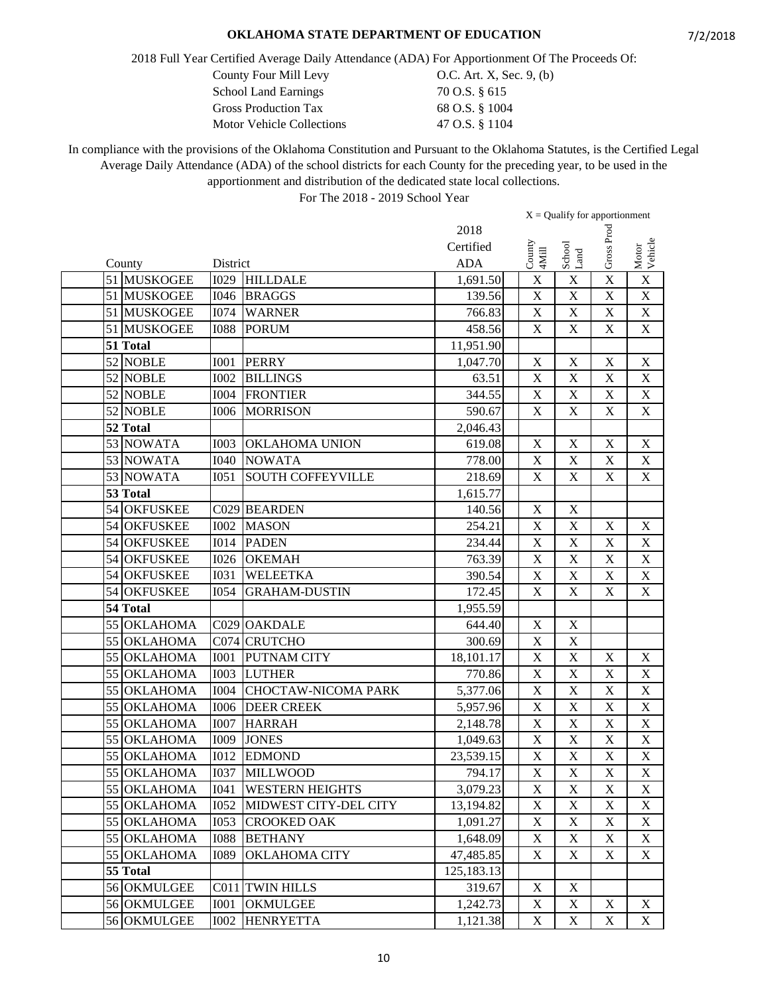2018 Full Year Certified Average Daily Attendance (ADA) For Apportionment Of The Proceeds Of:

| <b>School Land Earnings</b> | 70 O.S. § 615  |
|-----------------------------|----------------|
| <b>Gross Production Tax</b> | 68 O.S. § 1004 |
| Motor Vehicle Collections   | 47 O.S. § 1104 |

County Four Mill Levy 0.C. Art. X, Sec. 9, (b)<br>School Land Earnings 70 O.S. § 615 70 O.S. § 615

In compliance with the provisions of the Oklahoma Constitution and Pursuant to the Oklahoma Statutes, is the Certified Legal Average Daily Attendance (ADA) of the school districts for each County for the preceding year, to be used in the apportionment and distribution of the dedicated state local collections.

|             |             |                          |            |                           | $X =$ Qualify for apportionment |                           |                           |
|-------------|-------------|--------------------------|------------|---------------------------|---------------------------------|---------------------------|---------------------------|
|             |             |                          | 2018       |                           |                                 |                           |                           |
|             |             |                          | Certified  | County<br>4Mill           | School<br>Land                  | Gross Proc                |                           |
| County      | District    |                          | <b>ADA</b> |                           |                                 |                           | Motor<br>Vehicle          |
| 51 MUSKOGEE | <b>I029</b> | <b>HILLDALE</b>          | 1,691.50   | X                         | $\mathbf X$                     | X                         | $\mathbf X$               |
| 51 MUSKOGEE | <b>I046</b> | <b>BRAGGS</b>            | 139.56     | $\mathbf X$               | $\mathbf X$                     | $\mathbf X$               | $\overline{\mathbf{X}}$   |
| 51 MUSKOGEE | <b>I074</b> | <b>WARNER</b>            | 766.83     | X                         | $\overline{X}$                  | $\mathbf X$               | $\mathbf X$               |
| 51 MUSKOGEE | <b>I088</b> | <b>PORUM</b>             | 458.56     | $\mathbf X$               | $\mathbf X$                     | $\mathbf X$               | $\mathbf X$               |
| 51 Total    |             |                          | 11,951.90  |                           |                                 |                           |                           |
| 52 NOBLE    | <b>I001</b> | <b>PERRY</b>             | 1,047.70   | $\mathbf X$               | $\mathbf X$                     | $\mathbf X$               | $\mathbf X$               |
| 52 NOBLE    | <b>I002</b> | <b>BILLINGS</b>          | 63.51      | $\mathbf X$               | $\overline{X}$                  | $\mathbf X$               | $\mathbf X$               |
| 52 NOBLE    | <b>I004</b> | <b>FRONTIER</b>          | 344.55     | $\overline{\mathbf{X}}$   | $\overline{\mathbf{X}}$         | $\mathbf X$               | $\overline{X}$            |
| 52 NOBLE    | <b>I006</b> | <b>MORRISON</b>          | 590.67     | $\boldsymbol{\mathrm{X}}$ | $\mathbf X$                     | $\mathbf X$               | $\mathbf X$               |
| 52 Total    |             |                          | 2,046.43   |                           |                                 |                           |                           |
| 53 NOWATA   | <b>I003</b> | <b>OKLAHOMA UNION</b>    | 619.08     | $\mathbf X$               | $\mathbf X$                     | $\mathbf X$               | $\mathbf X$               |
| 53 NOWATA   | <b>I040</b> | <b>NOWATA</b>            | 778.00     | $\mathbf X$               | $\mathbf X$                     | $\boldsymbol{\mathrm{X}}$ | $\mathbf X$               |
| 53 NOWATA   | <b>I051</b> | <b>SOUTH COFFEYVILLE</b> | 218.69     | $\mathbf X$               | $\mathbf X$                     | $\mathbf X$               | $\mathbf X$               |
| 53 Total    |             |                          | 1,615.77   |                           |                                 |                           |                           |
| 54 OKFUSKEE |             | C029 BEARDEN             | 140.56     | $\mathbf X$               | $\mathbf X$                     |                           |                           |
| 54 OKFUSKEE | <b>IOO2</b> | <b>MASON</b>             | 254.21     | X                         | $\mathbf X$                     | $\mathbf X$               | $\mathbf X$               |
| 54 OKFUSKEE | <b>I014</b> | <b>PADEN</b>             | 234.44     | $\mathbf X$               | $\mathbf X$                     | $\mathbf X$               | $\mathbf X$               |
| 54 OKFUSKEE | <b>I026</b> | <b>OKEMAH</b>            | 763.39     | $\overline{X}$            | $\overline{\text{X}}$           | $\overline{\mathbf{X}}$   | $\overline{\mathbf{X}}$   |
| 54 OKFUSKEE | <b>I031</b> | <b>WELEETKA</b>          | 390.54     | $\overline{\mathbf{X}}$   | $\overline{\mathbf{X}}$         | $\mathbf X$               | $\mathbf X$               |
| 54 OKFUSKEE | <b>I054</b> | <b>GRAHAM-DUSTIN</b>     | 172.45     | X                         | $\overline{\text{X}}$           | $\mathbf X$               | $\overline{X}$            |
| 54 Total    |             |                          | 1,955.59   |                           |                                 |                           |                           |
| 55 OKLAHOMA |             | C029 OAKDALE             | 644.40     | X                         | $\mathbf X$                     |                           |                           |
| 55 OKLAHOMA |             | C074 CRUTCHO             | 300.69     | $\mathbf X$               | $\mathbf X$                     |                           |                           |
| 55 OKLAHOMA | <b>I001</b> | PUTNAM CITY              | 18,101.17  | $\mathbf X$               | $\mathbf X$                     | $\mathbf X$               | $\mathbf X$               |
| 55 OKLAHOMA | <b>I003</b> | <b>LUTHER</b>            | 770.86     | $\mathbf X$               | $\overline{\text{X}}$           | $\mathbf X$               | $\mathbf X$               |
| 55 OKLAHOMA | <b>I004</b> | CHOCTAW-NICOMA PARK      | 5,377.06   | $\mathbf X$               | X                               | $\mathbf X$               | $\mathbf X$               |
| 55 OKLAHOMA | <b>I006</b> | <b>DEER CREEK</b>        | 5,957.96   | $\overline{\mathbf{X}}$   | $\overline{\mathbf{X}}$         | $\mathbf X$               | $\overline{\text{X}}$     |
| 55 OKLAHOMA | <b>I007</b> | <b>HARRAH</b>            | 2,148.78   | $\boldsymbol{\mathrm{X}}$ | $\mathbf X$                     | $\mathbf X$               | $\mathbf X$               |
| 55 OKLAHOMA | I009        | <b>JONES</b>             | 1,049.63   | $\mathbf X$               | $\mathbf X$                     | $\mathbf X$               | $\mathbf X$               |
| 55 OKLAHOMA | <b>I012</b> | <b>EDMOND</b>            | 23,539.15  | $\mathbf X$               | $\mathbf X$                     | $\mathbf X$               | $\mathbf X$               |
| 55 OKLAHOMA |             | <b>I037 MILLWOOD</b>     | 794.17     | $\overline{\textbf{X}}$   | $\overline{\mathbf{X}}$         | $\overline{\textbf{X}}$   | $\overline{\mathbf{X}}$   |
| 55 OKLAHOMA | I041        | <b>WESTERN HEIGHTS</b>   | 3,079.23   | $\mathbf X$               | $\mathbf X$                     | X                         | $\boldsymbol{\mathrm{X}}$ |
| 55 OKLAHOMA | <b>I052</b> | MIDWEST CITY-DEL CITY    | 13,194.82  | $\mathbf X$               | $\mathbf X$                     | X                         | X                         |
| 55 OKLAHOMA | <b>I053</b> | <b>CROOKED OAK</b>       | 1,091.27   | $\mathbf X$               | $\mathbf X$                     | $\mathbf X$               | X                         |
| 55 OKLAHOMA | <b>I088</b> | <b>BETHANY</b>           | 1,648.09   | $\mathbf X$               | $\mathbf X$                     | $\mathbf X$               | X                         |
| 55 OKLAHOMA | <b>I089</b> | OKLAHOMA CITY            | 47,485.85  | $\mathbf X$               | $\mathbf X$                     | $\mathbf X$               | X                         |
| 55 Total    |             |                          | 125,183.13 |                           |                                 |                           |                           |
| 56 OKMULGEE |             | C011 TWIN HILLS          | 319.67     | X                         | $\mathbf X$                     |                           |                           |
| 56 OKMULGEE | <b>I001</b> | <b>OKMULGEE</b>          | 1,242.73   | $\mathbf X$               | $\mathbf X$                     | X                         | X                         |
| 56 OKMULGEE | <b>I002</b> | <b>HENRYETTA</b>         | 1,121.38   | $\mathbf X$               | $\mathbf X$                     | $\mathbf X$               | $X_{\mathcal{I}}$         |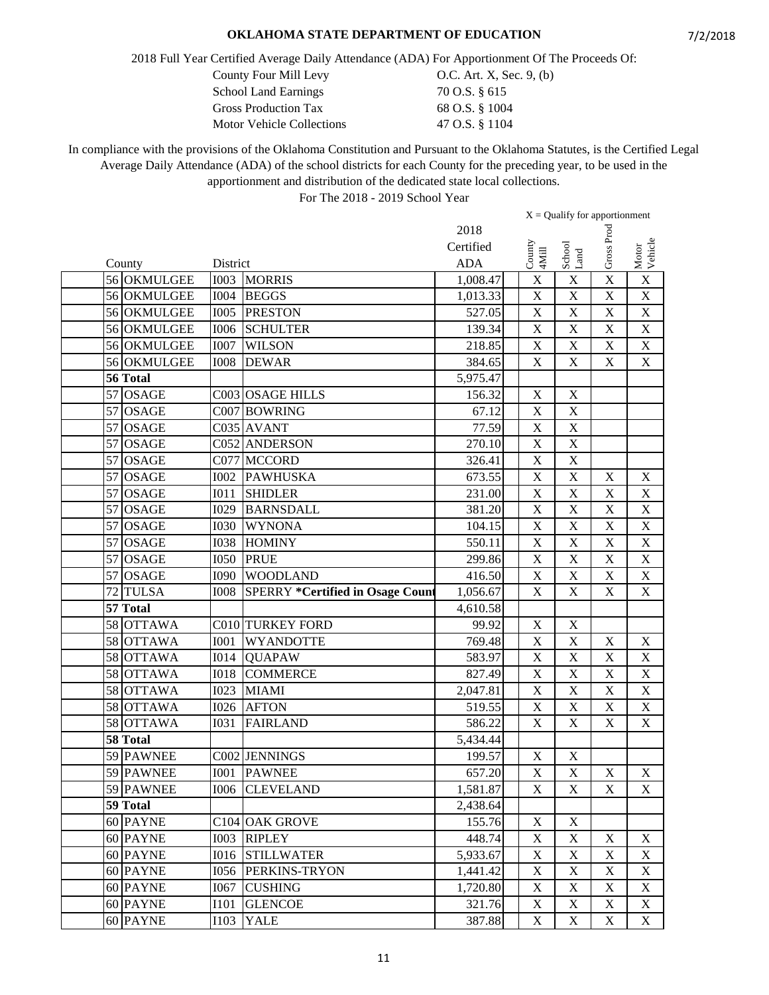2018 Full Year Certified Average Daily Attendance (ADA) For Apportionment Of The Proceeds Of:

County Four Mill Levy  $O.C.$  Art. X, Sec. 9, (b)

| <b>School Land Earnings</b> | 70 O.S. § 615  |
|-----------------------------|----------------|
| <b>Gross Production Tax</b> | 68 O.S. § 1004 |
| Motor Vehicle Collections   | 47 O.S. § 1104 |

In compliance with the provisions of the Oklahoma Constitution and Pursuant to the Oklahoma Statutes, is the Certified Legal Average Daily Attendance (ADA) of the school districts for each County for the preceding year, to be used in the apportionment and distribution of the dedicated state local collections.

|          |              |             |                                         |            |                                                            | $X =$ Qualify for apportionment |                           |                           |
|----------|--------------|-------------|-----------------------------------------|------------|------------------------------------------------------------|---------------------------------|---------------------------|---------------------------|
|          |              |             |                                         | 2018       |                                                            |                                 |                           |                           |
|          |              |             |                                         | Certified  | $\begin{array}{c} \text{Conv} \\ \text{4Mill} \end{array}$ | School<br>Land                  | Gross Proc                | Motor<br>Vehicle          |
| County   |              | District    |                                         | <b>ADA</b> |                                                            |                                 |                           |                           |
|          | 56 OKMULGEE  | <b>I003</b> | <b>MORRIS</b>                           | 1,008.47   | X                                                          | $\mathbf X$                     | $\overline{\mathbf{X}}$   | $\mathbf X$               |
|          | 56 OKMULGEE  | <b>I004</b> | <b>BEGGS</b>                            | 1,013.33   | $\boldsymbol{X}$                                           | $\mathbf X$                     | $\mathbf X$               | $\mathbf X$               |
|          | 56 OKMULGEE  | <b>I005</b> | <b>PRESTON</b>                          | 527.05     | $\mathbf X$                                                | $\bar{X}$                       | $\mathbf X$               | $\mathbf X$               |
|          | 56 OKMULGEE  | <b>I006</b> | <b>SCHULTER</b>                         | 139.34     | X                                                          | $\overline{X}$                  | $\mathbf X$               | $\overline{X}$            |
|          | 56 OKMULGEE  | <b>I007</b> | <b>WILSON</b>                           | 218.85     | $\mathbf X$                                                | $\mathbf X$                     | $\mathbf X$               | $\mathbf X$               |
|          | 56 OKMULGEE  | <b>I008</b> | <b>DEWAR</b>                            | 384.65     | $\mathbf X$                                                | $\mathbf X$                     | $\mathbf X$               | $\mathbf X$               |
| 56 Total |              |             |                                         | 5,975.47   |                                                            |                                 |                           |                           |
|          | 57 OSAGE     |             | C003 OSAGE HILLS                        | 156.32     | $\mathbf X$                                                | $\mathbf X$                     |                           |                           |
| 57       | <b>OSAGE</b> |             | C007 BOWRING                            | 67.12      | $\boldsymbol{\mathrm{X}}$                                  | $\mathbf X$                     |                           |                           |
|          | 57 OSAGE     |             | C035 AVANT                              | 77.59      | $\mathbf X$                                                | $\bar{X}$                       |                           |                           |
| 57       | <b>OSAGE</b> |             | C052 ANDERSON                           | 270.10     | $\mathbf X$                                                | $\bar{X}$                       |                           |                           |
|          | 57 OSAGE     | C077        | <b>MCCORD</b>                           | 326.41     | X                                                          | $\mathbf X$                     |                           |                           |
|          | 57 OSAGE     | <b>I002</b> | <b>PAWHUSKA</b>                         | 673.55     | $\mathbf X$                                                | $\mathbf X$                     | $\mathbf X$               | $\boldsymbol{\mathrm{X}}$ |
|          | 57 OSAGE     | I011        | <b>SHIDLER</b>                          | 231.00     | $\mathbf X$                                                | X                               | $\mathbf X$               | $\boldsymbol{\mathrm{X}}$ |
|          | 57 OSAGE     | I029        | <b>BARNSDALL</b>                        | 381.20     | X                                                          | $\overline{\mathbf{X}}$         | $\mathbf X$               | $\overline{X}$            |
| 57       | <b>OSAGE</b> | 1030        | <b>WYNONA</b>                           | 104.15     | X                                                          | $\overline{\text{X}}$           | $\boldsymbol{\mathrm{X}}$ | $\overline{\text{X}}$     |
| 57       | <b>OSAGE</b> | <b>I038</b> | <b>HOMINY</b>                           | 550.11     | $\mathbf X$                                                | $\mathbf X$                     | $\mathbf X$               | $\overline{\mathbf{X}}$   |
|          | 57 OSAGE     | <b>I050</b> | <b>PRUE</b>                             | 299.86     | X                                                          | $\mathbf X$                     | $\mathbf X$               | $\mathbf X$               |
|          | 57 OSAGE     | <b>I090</b> | <b>WOODLAND</b>                         | 416.50     | $\overline{X}$                                             | $\overline{X}$                  | $\overline{\mathbf{X}}$   | $\overline{X}$            |
|          | 72 TULSA     | <b>I008</b> | <b>SPERRY *Certified in Osage Count</b> | 1,056.67   | $\mathbf X$                                                | $\mathbf X$                     | $\mathbf X$               | $\mathbf X$               |
| 57 Total |              |             |                                         | 4,610.58   |                                                            |                                 |                           |                           |
|          | 58 OTTAWA    |             | C010 TURKEY FORD                        | 99.92      | $\mathbf X$                                                | $\mathbf X$                     |                           |                           |
|          | 58 OTTAWA    | <b>I001</b> | WYANDOTTE                               | 769.48     | $\boldsymbol{X}$                                           | $\mathbf X$                     | $\mathbf X$               | $\mathbf X$               |
|          | 58 OTTAWA    | <b>I014</b> | <b>QUAPAW</b>                           | 583.97     | $\mathbf X$                                                | $\mathbf X$                     | $\mathbf X$               | $\mathbf X$               |
|          | 58 OTTAWA    | <b>I018</b> | <b>COMMERCE</b>                         | 827.49     | X                                                          | $\mathbf X$                     | $\mathbf X$               | $\mathbf X$               |
|          | 58 OTTAWA    | <b>I023</b> | <b>MIAMI</b>                            | 2,047.81   | $\boldsymbol{\mathrm{X}}$                                  | X                               | $\mathbf X$               | $\overline{X}$            |
|          | 58 OTTAWA    | <b>I026</b> | <b>AFTON</b>                            | 519.55     | $\mathbf X$                                                | $\overline{\text{X}}$           | $\mathbf X$               | $\overline{X}$            |
|          | 58 OTTAWA    | <b>I031</b> | <b>FAIRLAND</b>                         | 586.22     | $\mathbf X$                                                | $\mathbf X$                     | $\mathbf X$               | $\mathbf X$               |
| 58 Total |              |             |                                         | 5,434.44   |                                                            |                                 |                           |                           |
|          | 59 PAWNEE    |             | C002 JENNINGS                           | 199.57     | $\mathbf X$                                                | $\mathbf X$                     |                           |                           |
|          | 59 PAWNEE    |             | <b>I001 PAWNEE</b>                      | 657.20     | $\overline{\textbf{X}}$                                    | X                               | $\mathbf X$               | $\mathbf X$               |
|          | 59 PAWNEE    | <b>I006</b> | <b>CLEVELAND</b>                        | 1,581.87   | $\mathbf X$                                                | X                               | $\mathbf X$               | X                         |
| 59 Total |              |             |                                         | 2,438.64   |                                                            |                                 |                           |                           |
|          | 60 PAYNE     |             | C <sub>104</sub> OAK GROVE              | 155.76     | X                                                          | X                               |                           |                           |
|          | 60 PAYNE     | <b>IOO3</b> | <b>RIPLEY</b>                           | 448.74     | $\mathbf X$                                                | $\mathbf X$                     | $\mathbf X$               | X                         |
|          | 60 PAYNE     | <b>I016</b> | <b>STILLWATER</b>                       | 5,933.67   | $\mathbf X$                                                | $\mathbf X$                     | $\mathbf X$               | X                         |
|          | 60 PAYNE     | 1056        | PERKINS-TRYON                           | 1,441.42   | $\boldsymbol{\mathrm{X}}$                                  | $\mathbf X$                     | $\mathbf X$               | X                         |
|          | 60 PAYNE     | I067        | <b>CUSHING</b>                          | 1,720.80   | $\mathbf X$                                                | $\mathbf X$                     | $\boldsymbol{\mathrm{X}}$ | X                         |
|          | 60 PAYNE     | I101        | <b>GLENCOE</b>                          | 321.76     | X                                                          | X                               | X                         | X                         |
|          | 60 PAYNE     | I103        | <b>YALE</b>                             | 387.88     | $\mathbf X$                                                | $\boldsymbol{\mathrm{X}}$       | $\mathbf X$               | X                         |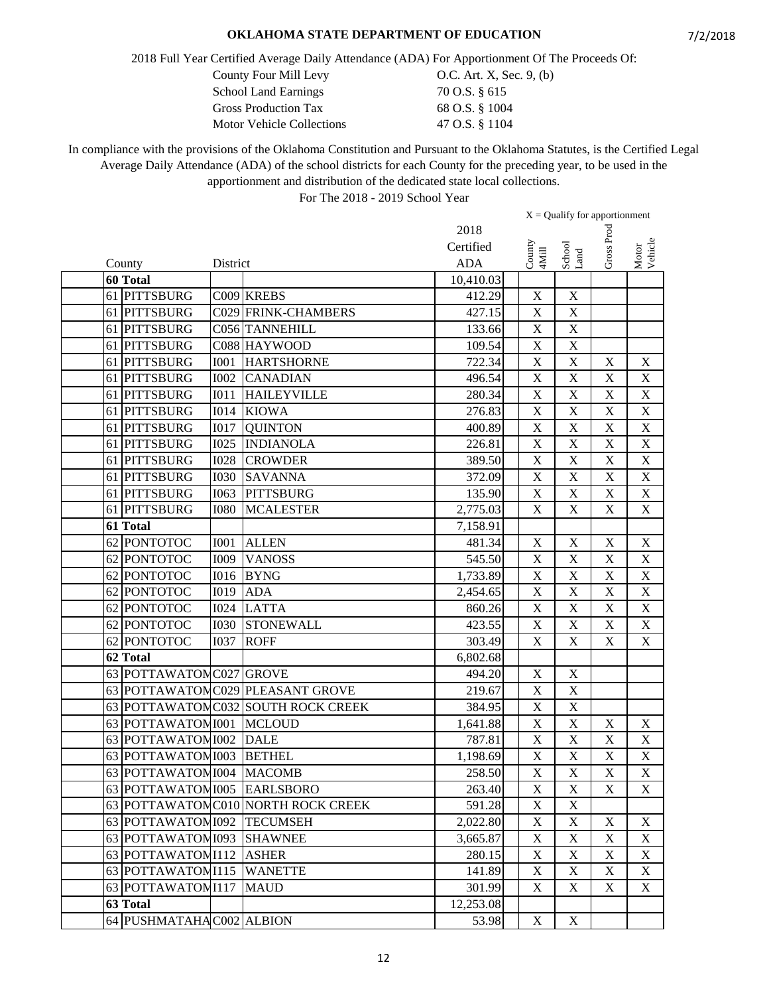2018 Full Year Certified Average Daily Attendance (ADA) For Apportionment Of The Proceeds Of:

| County Four Mill Levy       | O.C. Art. X, Sec. 9, (b) |
|-----------------------------|--------------------------|
| <b>School Land Earnings</b> | 70 O.S. § 615            |
| <b>Gross Production Tax</b> | 68 O.S. § 1004           |
| Motor Vehicle Collections   | 47 O.S. § 1104           |

In compliance with the provisions of the Oklahoma Constitution and Pursuant to the Oklahoma Statutes, is the Certified Legal Average Daily Attendance (ADA) of the school districts for each County for the preceding year, to be used in the apportionment and distribution of the dedicated state local collections.

|          |                             |             |                                    |            |                         | $X =$ Qualify for apportionment |                           |                           |
|----------|-----------------------------|-------------|------------------------------------|------------|-------------------------|---------------------------------|---------------------------|---------------------------|
|          |                             |             |                                    | 2018       |                         |                                 |                           |                           |
|          |                             |             |                                    | Certified  |                         | School<br>Land                  | Gross Proc                | Motor<br>Vehicle          |
| County   |                             | District    |                                    | <b>ADA</b> | County<br>4Mill         |                                 |                           |                           |
| 60 Total |                             |             |                                    | 10,410.03  |                         |                                 |                           |                           |
|          | 61 PITTSBURG                |             | C009 KREBS                         | 412.29     | $\mathbf X$             | $\mathbf X$                     |                           |                           |
|          | 61 PITTSBURG                |             | C029 FRINK-CHAMBERS                | 427.15     | $\mathbf X$             | $\mathbf X$                     |                           |                           |
| 61       | <b>PITTSBURG</b>            |             | C056 TANNEHILL                     | 133.66     | $\mathbf X$             | $\mathbf X$                     |                           |                           |
| 61       | <b>PITTSBURG</b>            |             | C088 HAYWOOD                       | 109.54     | $\mathbf X$             | $\mathbf X$                     |                           |                           |
|          | 61 PITTSBURG                | <b>I001</b> | <b>HARTSHORNE</b>                  | 722.34     | $\mathbf X$             | $\mathbf X$                     | $\mathbf X$               | $\mathbf X$               |
|          | 61 PITTSBURG                | <b>I002</b> | <b>CANADIAN</b>                    | 496.54     | $\mathbf X$             | $\mathbf X$                     | $\mathbf X$               | X                         |
|          | 61 PITTSBURG                | <b>IO11</b> | <b>HAILEYVILLE</b>                 | 280.34     | $\mathbf X$             | $\overline{\mathbf{X}}$         | $\mathbf X$               | $\mathbf X$               |
|          | 61 PITTSBURG                | <b>I014</b> | <b>KIOWA</b>                       | 276.83     | $\mathbf X$             | $\overline{\text{X}}$           | $\mathbf X$               | $\overline{\text{X}}$     |
| 61       | <b>PITTSBURG</b>            | <b>I017</b> | <b>QUINTON</b>                     | 400.89     | $\mathbf X$             | $\mathbf X$                     | $\mathbf X$               | $\overline{X}$            |
|          | 61 PITTSBURG                | <b>I025</b> | <b>INDIANOLA</b>                   | 226.81     | $\mathbf X$             | $\mathbf X$                     | $\mathbf X$               | $\mathbf X$               |
|          | 61 PITTSBURG                | <b>I028</b> | <b>CROWDER</b>                     | 389.50     | $\mathbf X$             | $\mathbf X$                     | $\mathbf X$               | $\mathbf X$               |
|          | 61 PITTSBURG                | <b>I030</b> | <b>SAVANNA</b>                     | 372.09     | $\mathbf X$             | $\mathbf X$                     | $\mathbf X$               | $\mathbf X$               |
|          | 61 PITTSBURG                | I063        | <b>PITTSBURG</b>                   | 135.90     | $\mathbf X$             | $\mathbf X$                     | X                         | $\boldsymbol{\mathrm{X}}$ |
|          | 61 PITTSBURG                | <b>I080</b> | <b>MCALESTER</b>                   | 2,775.03   | $\mathbf X$             | X                               | $\boldsymbol{\mathrm{X}}$ | $\mathbf X$               |
| 61 Total |                             |             |                                    | 7,158.91   |                         |                                 |                           |                           |
|          | 62 PONTOTOC                 | <b>I001</b> | <b>ALLEN</b>                       | 481.34     | $\mathbf X$             | $\mathbf X$                     | $\mathbf X$               | $\mathbf X$               |
|          | 62 PONTOTOC                 | I009        | <b>VANOSS</b>                      | 545.50     | $\mathbf X$             | $\overline{\mathbf{X}}$         | $\mathbf X$               | $\mathbf X$               |
|          | 62 PONTOTOC                 | <b>I016</b> | <b>BYNG</b>                        | 1,733.89   | $\mathbf X$             | $\overline{\mathbf{X}}$         | $\mathbf X$               | $\mathbf X$               |
|          | 62 PONTOTOC                 | <b>I019</b> | <b>ADA</b>                         | 2,454.65   | X                       | $\overline{\text{X}}$           | $\mathbf X$               | $\overline{\text{X}}$     |
|          | 62 PONTOTOC                 | <b>I024</b> | <b>LATTA</b>                       | 860.26     | $\mathbf X$             | $\mathbf X$                     | $\mathbf X$               | $\boldsymbol{\mathrm{X}}$ |
|          | 62 PONTOTOC                 | <b>I030</b> | <b>STONEWALL</b>                   | 423.55     | $\mathbf X$             | $\mathbf X$                     | $\mathbf X$               | $\mathbf X$               |
|          | 62 PONTOTOC                 | <b>I037</b> | <b>ROFF</b>                        | 303.49     | $\mathbf X$             | $\mathbf X$                     | $\mathbf X$               | $\boldsymbol{\mathrm{X}}$ |
| 62 Total |                             |             |                                    | 6,802.68   |                         |                                 |                           |                           |
|          | 63 POTTAWATOM C027 GROVE    |             |                                    | 494.20     | $\mathbf X$             | $\mathbf X$                     |                           |                           |
|          |                             |             | 63 POTTAWATOMC029 PLEASANT GROVE   | 219.67     | $\mathbf X$             | $\mathbf X$                     |                           |                           |
|          |                             |             | 63 POTTAWATOMC032 SOUTH ROCK CREEK | 384.95     | $\mathbf X$             | $\overline{\mathbf{X}}$         |                           |                           |
|          | 63 POTTAWATOMI001           |             | <b>MCLOUD</b>                      | 1,641.88   | $\mathbf X$             | $\mathbf X$                     | $\mathbf X$               | $\mathbf X$               |
|          | 63 POTTAWATOM 1002          |             | <b>DALE</b>                        | 787.81     | $\mathbf X$             | $\bar{X}$                       | $\mathbf X$               | $\mathbf X$               |
|          | 63 POTTAWATOMI003           |             | <b>BETHEL</b>                      | 1,198.69   | $\mathbf X$             | $\mathbf X$                     | $\mathbf X$               | X                         |
|          | 63 POTTAWATOM 1004 MACOMB   |             |                                    | 258.50     | $\overline{\textbf{X}}$ | $\overline{\textbf{X}}$         | $\overline{\textbf{X}}$   | $\overline{\textbf{X}}$   |
|          | 63 POTTAWATOMI005 EARLSBORO |             |                                    | 263.40     | X                       | $\mathbf X$                     | X                         | X                         |
|          |                             |             | 63 POTTAWATOMC010 NORTH ROCK CREEK | 591.28     | $\mathbf X$             | $\boldsymbol{\mathrm{X}}$       |                           |                           |
|          | 63 POTTAWATOM 1092          |             | <b>TECUMSEH</b>                    | 2,022.80   | $\mathbf X$             | $\mathbf X$                     | $\mathbf X$               | X                         |
|          | 63 POTTAWATOMI093           |             | <b>SHAWNEE</b>                     | 3,665.87   | $\mathbf X$             | $\mathbf X$                     | $\mathbf X$               | X                         |
|          | 63 POTTAWATOMI112           |             | <b>ASHER</b>                       | 280.15     | X                       | $\mathbf X$                     | $\mathbf X$               | X                         |
|          | 63 POTTAWATOMI115           |             | <b>WANETTE</b>                     | 141.89     | X                       | $\mathbf X$                     | $\mathbf X$               | X                         |
|          | 63 POTTAWATOMI117           |             | <b>MAUD</b>                        | 301.99     | X                       | $\mathbf X$                     | $\boldsymbol{\mathrm{X}}$ | X                         |
| 63 Total |                             |             |                                    | 12,253.08  |                         |                                 |                           |                           |
|          | 64 PUSHMATAHA C002 ALBION   |             |                                    | 53.98      | $\mathbf X$             | $\mathbf X$                     |                           |                           |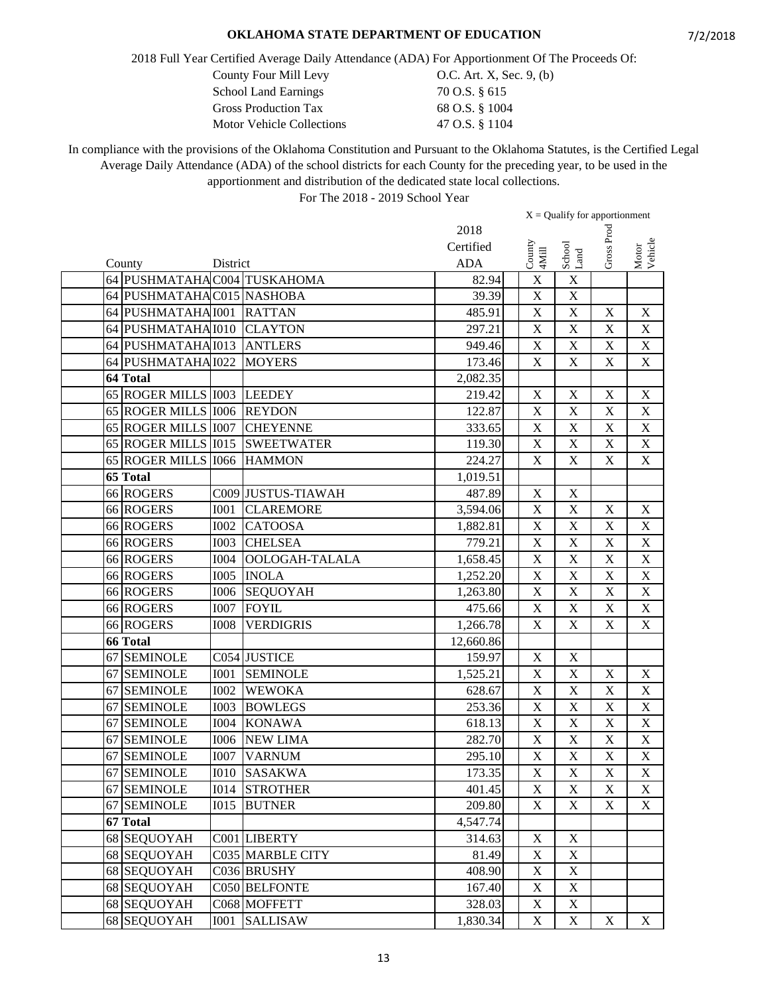2018 Full Year Certified Average Daily Attendance (ADA) For Apportionment Of The Proceeds Of:

| County Four Mill Levy            | O.C. Art. X, Sec. 9, (b) |
|----------------------------------|--------------------------|
| <b>School Land Earnings</b>      | 70 O.S. § 615            |
| <b>Gross Production Tax</b>      | 68 O.S. § 1004           |
| <b>Motor Vehicle Collections</b> | 47 O.S. § 1104           |

In compliance with the provisions of the Oklahoma Constitution and Pursuant to the Oklahoma Statutes, is the Certified Legal Average Daily Attendance (ADA) of the school districts for each County for the preceding year, to be used in the apportionment and distribution of the dedicated state local collections.

|    |                              |                  |                                |            | $X =$ Qualify for apportionment |                              |                         |                           |
|----|------------------------------|------------------|--------------------------------|------------|---------------------------------|------------------------------|-------------------------|---------------------------|
|    |                              |                  |                                | 2018       |                                 |                              |                         |                           |
|    |                              |                  |                                | Certified  |                                 |                              | Gross Proc              |                           |
|    | County                       | District         |                                | <b>ADA</b> | $\frac{County}{4Mill}$          | ${\rm School} \\ {\rm Land}$ |                         | Motor<br>Vehicle          |
|    | 64 PUSHMATAHA C004 TUSKAHOMA |                  |                                | 82.94      | $\mathbf X$                     | $\mathbf X$                  |                         |                           |
|    | 64 PUSHMATAHAC015 NASHOBA    |                  |                                | 39.39      | $\mathbf X$                     | $\mathbf X$                  |                         |                           |
|    | 64 PUSHMATAHA I001           |                  | <b>RATTAN</b>                  | 485.91     | $\mathbf X$                     | $\overline{\mathbf{X}}$      | $\mathbf X$             | $\mathbf X$               |
|    | 64 PUSHMATAHA I010           |                  | <b>CLAYTON</b>                 | 297.21     | $\mathbf X$                     | X                            | $\mathbf X$             | $\mathbf X$               |
|    | 64 PUSHMATAHA I013           |                  | <b>ANTLERS</b>                 | 949.46     | $\mathbf X$                     | $\mathbf X$                  | $\mathbf X$             | X                         |
|    | 64 PUSHMATAHA I022           |                  | <b>MOYERS</b>                  | 173.46     | $\mathbf X$                     | $\mathbf X$                  | $\mathbf X$             | $\mathbf X$               |
|    | 64 Total                     |                  |                                | 2,082.35   |                                 |                              |                         |                           |
|    | 65 ROGER MILLS 1003 LEEDEY   |                  |                                | 219.42     | $\mathbf X$                     | $\overline{\mathbf{X}}$      | $\mathbf X$             | $\overline{\text{X}}$     |
|    | 65 ROGER MILLS 1006 REYDON   |                  |                                | 122.87     | $\mathbf X$                     | $\mathbf X$                  | $\mathbf X$             | $\mathbf X$               |
|    | 65 ROGER MILLS 1007          |                  | <b>CHEYENNE</b>                | 333.65     | $\mathbf X$                     | $\bar{X}$                    | $\mathbf X$             | $\mathbf X$               |
|    |                              |                  | 65 ROGER MILLS 1015 SWEETWATER | 119.30     | $\mathbf X$                     | $\mathbf X$                  | $\mathbf X$             | $\mathbf X$               |
|    | 65 ROGER MILLS 1066          |                  | <b>HAMMON</b>                  | 224.27     | $\mathbf X$                     | $\mathbf X$                  | $\mathbf X$             | $\mathbf X$               |
|    | 65 Total                     |                  |                                | 1,019.51   |                                 |                              |                         |                           |
|    | 66 ROGERS                    |                  | C009 JUSTUS-TIAWAH             | 487.89     | $\mathbf X$                     | $\mathbf X$                  |                         |                           |
|    | 66 ROGERS                    | <b>I001</b>      | <b>CLAREMORE</b>               | 3,594.06   | $\mathbf X$                     | $\mathbf X$                  | $\mathbf X$             | X                         |
|    | 66 ROGERS                    | <b>I002</b>      | <b>CATOOSA</b>                 | 1,882.81   | $\mathbf X$                     | $\mathbf X$                  | $\mathbf X$             | $\boldsymbol{\mathrm{X}}$ |
|    | 66 ROGERS                    | <b>I003</b>      | <b>CHELSEA</b>                 | 779.21     | $\overline{\mathbf{X}}$         | $\overline{\mathbf{X}}$      | $\mathbf X$             | $\mathbf X$               |
|    | <b>66 ROGERS</b>             | <b>I004</b>      | OOLOGAH-TALALA                 | 1,658.45   | $\overline{\mathbf{X}}$         | $\overline{\mathrm{X}}$      | $\mathbf X$             | $\overline{\text{X}}$     |
|    | 66 ROGERS                    | <b>I005</b>      | <b>INOLA</b>                   | 1,252.20   | $\overline{\mathbf{X}}$         | $\overline{X}$               | $\mathbf X$             | $\overline{\text{X}}$     |
|    | 66 ROGERS                    |                  | I006 SEQUOYAH                  | 1,263.80   | $\mathbf X$                     | $\overline{X}$               | $\mathbf X$             | $\overline{X}$            |
|    | 66 ROGERS                    | <b>I007</b>      | <b>FOYIL</b>                   | 475.66     | $\mathbf X$                     | X                            | $\mathbf X$             | $\mathbf X$               |
|    | 66 ROGERS                    | <b>I008</b>      | <b>VERDIGRIS</b>               | 1,266.78   | $\mathbf X$                     | $\mathbf X$                  | $\mathbf X$             | $\mathbf X$               |
|    | <b>66 Total</b>              |                  |                                | 12,660.86  |                                 |                              |                         |                           |
|    | 67 SEMINOLE                  |                  | C054 JUSTICE                   | 159.97     | $\mathbf X$                     | $\mathbf X$                  |                         |                           |
|    | 67 SEMINOLE                  | <b>I001</b>      | <b>SEMINOLE</b>                | 1,525.21   | $\mathbf X$                     | $\overline{\text{X}}$        | $\mathbf X$             | $\mathbf X$               |
|    | 67 SEMINOLE                  | <b>I002</b>      | <b>WEWOKA</b>                  | 628.67     | $\mathbf X$                     | $\overline{\text{X}}$        | $\mathbf X$             | $\mathbf X$               |
|    | 67 SEMINOLE                  | <b>I003</b>      | <b>BOWLEGS</b>                 | 253.36     | $\mathbf X$                     | $\overline{\text{X}}$        | $\mathbf X$             | $\overline{\text{X}}$     |
|    | 67 SEMINOLE                  | <b>I004</b>      | <b>KONAWA</b>                  | 618.13     | $\mathbf X$                     | $\mathbf X$                  | $\mathbf X$             | $\mathbf X$               |
| 67 | <b>SEMINOLE</b>              | <b>I006</b>      | <b>NEW LIMA</b>                | 282.70     | $\mathbf X$                     | $\mathbf X$                  | $\mathbf X$             | $\mathbf X$               |
|    | 67 SEMINOLE                  | <b>I007</b>      | <b>VARNUM</b>                  | 295.10     | $\mathbf X$                     | $\mathbf X$                  | $\mathbf X$             | $\boldsymbol{\mathrm{X}}$ |
|    | 67 SEMINOLE                  |                  | <b>I010 SASAKWA</b>            | 173.35     | $\overline{\mathbf{X}}$         | $\mathbf X$                  | $\overline{\mathbf{X}}$ | $\overline{\mathbf{X}}$   |
|    | 67 SEMINOLE                  | I <sub>014</sub> | <b>STROTHER</b>                | 401.45     | $\mathbf X$                     | $\mathbf X$                  | $\mathbf X$             | X                         |
|    | 67 SEMINOLE                  | <b>I015</b>      | <b>BUTNER</b>                  | 209.80     | X                               | X                            | X                       | X                         |
|    | 67 Total                     |                  |                                | 4,547.74   |                                 |                              |                         |                           |
|    | 68 SEQUOYAH                  |                  | C001 LIBERTY                   | 314.63     | $\mathbf X$                     | $\mathbf X$                  |                         |                           |
|    | 68 SEQUOYAH                  |                  | C035 MARBLE CITY               | 81.49      | $\mathbf X$                     | $\boldsymbol{\mathrm{X}}$    |                         |                           |
|    | 68 SEQUOYAH                  |                  | C036 BRUSHY                    | 408.90     | $\mathbf X$                     | $\mathbf X$                  |                         |                           |
|    | 68 SEQUOYAH                  |                  | <b>C050 BELFONTE</b>           | 167.40     | $\mathbf X$                     | $\mathbf X$                  |                         |                           |
|    | 68 SEQUOYAH                  |                  | C068 MOFFETT                   | 328.03     | $\mathbf X$                     | $\mathbf X$                  |                         |                           |
|    | 68 SEQUOYAH                  | I001             | <b>SALLISAW</b>                | 1,830.34   | $\mathbf X$                     | $\mathbf X$                  | $\mathbf X$             | $X_{\mathcal{E}}$         |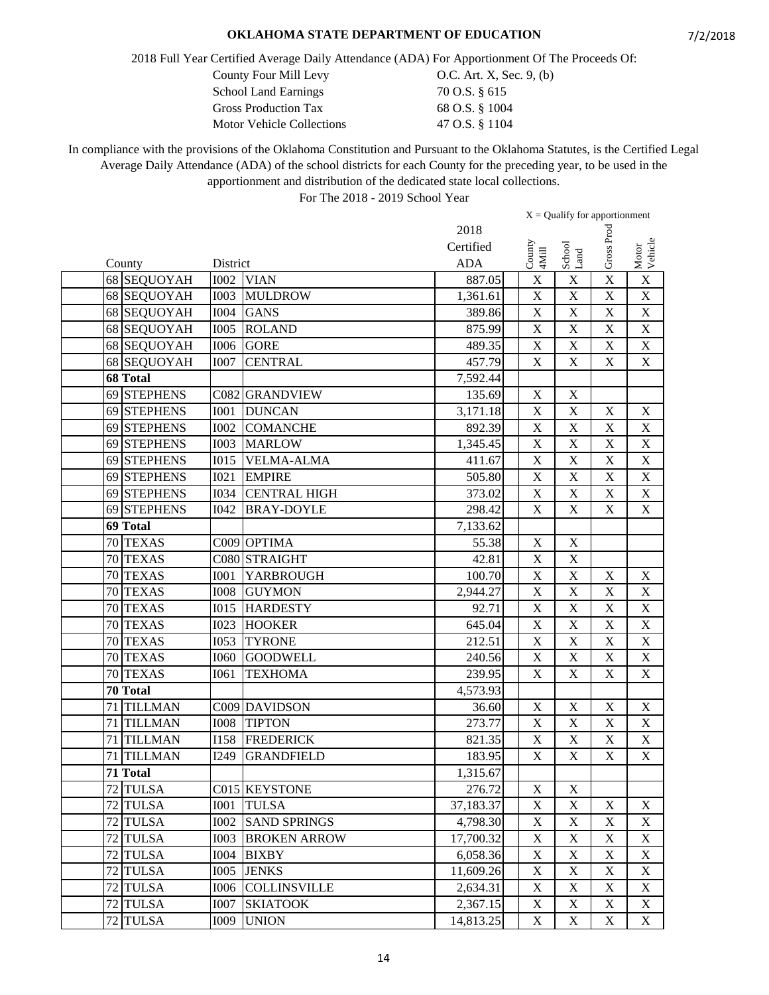2018 Full Year Certified Average Daily Attendance (ADA) For Apportionment Of The Proceeds Of:

County Four Mill Levy 0.C. Art. X, Sec. 9, (b)

| <b>School Land Earnings</b>      | 70 O.S. § 615  |
|----------------------------------|----------------|
| <b>Gross Production Tax</b>      | 68 O.S. § 1004 |
| <b>Motor Vehicle Collections</b> | 47 O.S. § 1104 |

In compliance with the provisions of the Oklahoma Constitution and Pursuant to the Oklahoma Statutes, is the Certified Legal Average Daily Attendance (ADA) of the school districts for each County for the preceding year, to be used in the apportionment and distribution of the dedicated state local collections.

|                      |             |                     |            | $X =$ Qualify for apportionment |                         |             |                           |
|----------------------|-------------|---------------------|------------|---------------------------------|-------------------------|-------------|---------------------------|
|                      |             |                     | 2018       |                                 |                         |             |                           |
|                      |             |                     | Certified  | County                          |                         | Gross Proc  |                           |
| County               | District    |                     | <b>ADA</b> | 4Mill                           | School<br>Land          |             | Motor<br>Vehicle          |
| 68 SEQUOYAH          | <b>I002</b> | <b>VIAN</b>         | 887.05     | X                               | $\mathbf X$             | X           | $\mathbf X$               |
| 68 SEQUOYAH          | <b>I003</b> | <b>MULDROW</b>      | 1,361.61   | $\mathbf X$                     | $\mathbf X$             | $\mathbf X$ | $\mathbf X$               |
| 68 SEQUOYAH          | <b>I004</b> | <b>GANS</b>         | 389.86     | X                               | $\overline{\text{X}}$   | X           | $\mathbf X$               |
| 68 SEQUOYAH          | <b>I005</b> | <b>ROLAND</b>       | 875.99     | X                               | X                       | $\mathbf X$ | $\mathbf X$               |
| 68 SEQUOYAH          | <b>I006</b> | <b>GORE</b>         | 489.35     | $\mathbf X$                     | $\mathbf X$             | $\mathbf X$ | $\boldsymbol{\mathrm{X}}$ |
| 68 SEQUOYAH          | <b>I007</b> | <b>CENTRAL</b>      | 457.79     | $\mathbf X$                     | $\mathbf X$             | $\mathbf X$ | $\mathbf X$               |
| 68 Total             |             |                     | 7,592.44   |                                 |                         |             |                           |
| 69 STEPHENS          |             | C082 GRANDVIEW      | 135.69     | $\mathbf X$                     | $\overline{X}$          |             |                           |
| 69 STEPHENS          | <b>I001</b> | <b>DUNCAN</b>       | 3,171.18   | $\mathbf X$                     | $\mathbf X$             | $\mathbf X$ | $\mathbf X$               |
| 69 STEPHENS          | <b>I002</b> | <b>COMANCHE</b>     | 892.39     | X                               | $\overline{\text{X}}$   | $\mathbf X$ | $\overline{X}$            |
| 69 STEPHENS          | <b>I003</b> | <b>MARLOW</b>       | 1,345.45   | $\mathbf X$                     | $\mathbf X$             | $\mathbf X$ | $\mathbf X$               |
| 69 STEPHENS          | <b>I015</b> | <b>VELMA-ALMA</b>   | 411.67     | $\mathbf X$                     | $\mathbf X$             | $\mathbf X$ | $\mathbf X$               |
| 69 STEPHENS          | <b>I021</b> | <b>EMPIRE</b>       | 505.80     | $\mathbf X$                     | $\mathbf X$             | $\mathbf X$ | $\mathbf X$               |
| 69 STEPHENS          | I034        | <b>CENTRAL HIGH</b> | 373.02     | $\mathbf X$                     | $\overline{\text{X}}$   | X           | $\mathbf X$               |
| 69 STEPHENS          | I042        | <b>BRAY-DOYLE</b>   | 298.42     | X                               | $\mathbf X$             | $\mathbf X$ | $\mathbf X$               |
| 69 Total             |             |                     | 7,133.62   |                                 |                         |             |                           |
| 70 TEXAS             |             | C009 OPTIMA         | 55.38      | $\mathbf X$                     | $\mathbf X$             |             |                           |
| 70 TEXAS             |             | C080 STRAIGHT       | 42.81      | $\overline{X}$                  | $\overline{\text{X}}$   |             |                           |
| 70 TEXAS             | <b>I001</b> | YARBROUGH           | 100.70     | $\overline{\mathbf{X}}$         | $\overline{\mathbf{X}}$ | $\mathbf X$ | $\mathbf X$               |
| 70 TEXAS             | <b>IOO8</b> | <b>GUYMON</b>       | 2,944.27   | X                               | $\overline{X}$          | $\mathbf X$ | $\overline{\mathbf{X}}$   |
| 70 TEXAS             | <b>I015</b> | <b>HARDESTY</b>     | 92.71      | X                               | $\overline{X}$          | $\mathbf X$ | $\mathbf X$               |
| 70 TEXAS             | <b>I023</b> | <b>HOOKER</b>       | 645.04     | $\mathbf X$                     | $\mathbf X$             | $\mathbf X$ | $\boldsymbol{\mathrm{X}}$ |
| 70 TEXAS             | <b>I053</b> | <b>TYRONE</b>       | 212.51     | $\boldsymbol{\mathrm{X}}$       | $\mathbf X$             | $\mathbf X$ | $\mathbf X$               |
| 70 TEXAS             | <b>I060</b> | <b>GOODWELL</b>     | 240.56     | $\mathbf X$                     | $\mathbf X$             | $\mathbf X$ | $\mathbf X$               |
| 70 TEXAS             | <b>I061</b> | <b>TEXHOMA</b>      | 239.95     | $\mathbf X$                     | X                       | $\mathbf X$ | $\mathbf X$               |
| 70 Total             |             |                     | 4,573.93   |                                 |                         |             |                           |
| 71<br><b>TILLMAN</b> |             | C009 DAVIDSON       | 36.60      | $\mathbf X$                     | $\mathbf X$             | $\mathbf X$ | $\mathbf X$               |
| <b>TILLMAN</b><br>71 | <b>I008</b> | <b>TIPTON</b>       | 273.77     | $\boldsymbol{\mathrm{X}}$       | $\mathbf X$             | $\mathbf X$ | $\mathbf X$               |
| <b>TILLMAN</b><br>71 | <b>I158</b> | <b>FREDERICK</b>    | 821.35     | $\mathbf X$                     | $\overline{X}$          | $\mathbf X$ | $\mathbf X$               |
| 71 TILLMAN           | I249        | <b>GRANDFIELD</b>   | 183.95     | X                               | $\mathbf X$             | $\mathbf X$ | $\mathbf X$               |
| 71 Total             |             |                     | 1,315.67   |                                 |                         |             |                           |
| 72 TULSA             |             | C015 KEYSTONE       | 276.72     | X                               | $\mathbf X$             |             |                           |
| 72 TULSA             | <b>I001</b> | <b>TULSA</b>        | 37,183.37  | $\mathbf X$                     | $\mathbf X$             | X           | $\boldsymbol{\mathrm{X}}$ |
| 72 TULSA             | <b>I002</b> | <b>SAND SPRINGS</b> | 4,798.30   | X                               | $\mathbf X$             | $\mathbf X$ | $\boldsymbol{\mathrm{X}}$ |
| 72 TULSA             | <b>I003</b> | <b>BROKEN ARROW</b> | 17,700.32  | $\mathbf X$                     | $\mathbf X$             | $\mathbf X$ | X                         |
| 72 TULSA             | <b>I004</b> | <b>BIXBY</b>        | 6,058.36   | $\mathbf X$                     | $\mathbf X$             | $\mathbf X$ | X                         |
| 72<br><b>TULSA</b>   | <b>I005</b> | <b>JENKS</b>        | 11,609.26  | $\mathbf X$                     | $\mathbf X$             | $\mathbf X$ | $\mathbf X$               |
| 72 TULSA             | <b>I006</b> | <b>COLLINSVILLE</b> | 2,634.31   | $\mathbf X$                     | $\mathbf X$             | $\mathbf X$ | $\mathbf X$               |
| 72 TULSA             | <b>I007</b> | <b>SKIATOOK</b>     | 2,367.15   | $\mathbf X$                     | $\mathbf X$             | $\mathbf X$ | $\mathbf X$               |
| 72 TULSA             | I009        | <b>UNION</b>        | 14,813.25  | $\mathbf X$                     | $\mathbf X$             | $\mathbf X$ | $X_{\mathcal{E}}$         |